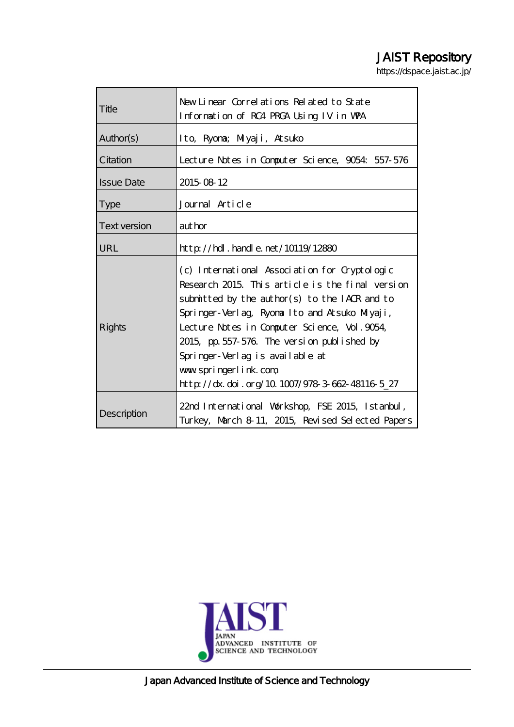# JAIST Repository

https://dspace.jaist.ac.jp/

| Title               | New Linear Correlations Related to State<br>Information of RC4 PRCA Using IV in WPA                                                                                                                                                                                                                                                                                                                              |  |  |  |  |  |
|---------------------|------------------------------------------------------------------------------------------------------------------------------------------------------------------------------------------------------------------------------------------------------------------------------------------------------------------------------------------------------------------------------------------------------------------|--|--|--|--|--|
| Author(s)           | Ito, Ryona; Miyaji, Atsuko                                                                                                                                                                                                                                                                                                                                                                                       |  |  |  |  |  |
| Citation            | Lecture Notes in Computer Science, 9054: 557-576                                                                                                                                                                                                                                                                                                                                                                 |  |  |  |  |  |
| <b>Issue Date</b>   | 2015 08 12                                                                                                                                                                                                                                                                                                                                                                                                       |  |  |  |  |  |
| <b>Type</b>         | Journal Article                                                                                                                                                                                                                                                                                                                                                                                                  |  |  |  |  |  |
| <b>Text version</b> | author                                                                                                                                                                                                                                                                                                                                                                                                           |  |  |  |  |  |
| URL                 | $\frac{\text{http}}{\text{10119}}$ . handle. net/10119/12880                                                                                                                                                                                                                                                                                                                                                     |  |  |  |  |  |
| Rights              | (c) International Association for Cryptologic<br>Research 2015. This article is the final version<br>submitted by the author(s) to the IACR and to<br>Springer-Verlag, Ryona Ito and Atsuko Miyaji,<br>Lecture Notes in Computer Science, Vol. 9054,<br>2015, pp. 557-576. The version published by<br>Springer-Verlag is available at<br>www.springerlink.com<br>http://dx.doi.org/10.1007/978-3-662-48116-5_27 |  |  |  |  |  |
| Description         | 22nd International Workshop, FSE 2015, Istanbul,<br>Turkey, March 8-11, 2015, Revised Selected Papers                                                                                                                                                                                                                                                                                                            |  |  |  |  |  |



Japan Advanced Institute of Science and Technology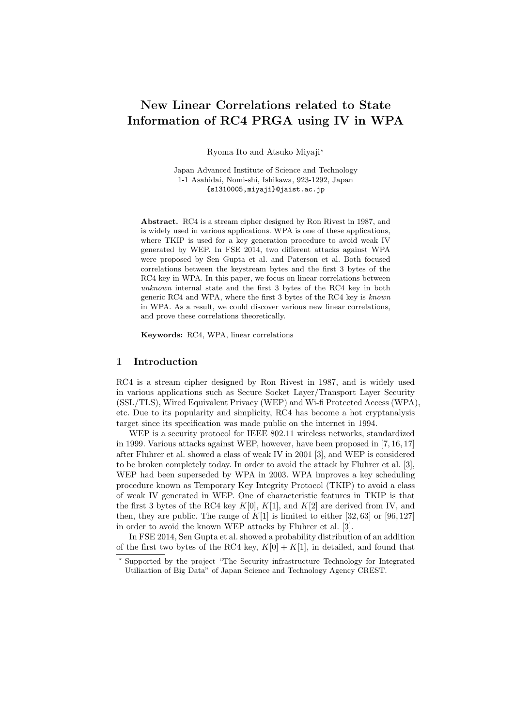# **New Linear Correlations related to State Information of RC4 PRGA using IV in WPA**

Ryoma Ito and Atsuko Miyaji*?*

Japan Advanced Institute of Science and Technology 1-1 Asahidai, Nomi-shi, Ishikawa, 923-1292, Japan {s1310005,miyaji}@jaist.ac.jp

**Abstract.** RC4 is a stream cipher designed by Ron Rivest in 1987, and is widely used in various applications. WPA is one of these applications, where TKIP is used for a key generation procedure to avoid weak IV generated by WEP. In FSE 2014, two different attacks against WPA were proposed by Sen Gupta et al. and Paterson et al. Both focused correlations between the keystream bytes and the first 3 bytes of the RC4 key in WPA. In this paper, we focus on linear correlations between *unknown* internal state and the first 3 bytes of the RC4 key in both generic RC4 and WPA, where the first 3 bytes of the RC4 key is *known* in WPA. As a result, we could discover various new linear correlations, and prove these correlations theoretically.

**Keywords:** RC4, WPA, linear correlations

# **1 Introduction**

RC4 is a stream cipher designed by Ron Rivest in 1987, and is widely used in various applications such as Secure Socket Layer/Transport Layer Security (SSL/TLS), Wired Equivalent Privacy (WEP) and Wi-fi Protected Access (WPA), etc. Due to its popularity and simplicity, RC4 has become a hot cryptanalysis target since its specification was made public on the internet in 1994.

WEP is a security protocol for IEEE 802.11 wireless networks, standardized in 1999. Various attacks against WEP, however, have been proposed in [7, 16, 17] after Fluhrer et al. showed a class of weak IV in 2001 [3], and WEP is considered to be broken completely today. In order to avoid the attack by Fluhrer et al. [3], WEP had been superseded by WPA in 2003. WPA improves a key scheduling procedure known as Temporary Key Integrity Protocol (TKIP) to avoid a class of weak IV generated in WEP. One of characteristic features in TKIP is that the first 3 bytes of the RC4 key  $K[0], K[1],$  and  $K[2]$  are derived from IV, and then, they are public. The range of  $K[1]$  is limited to either [32, 63] or [96, 127] in order to avoid the known WEP attacks by Fluhrer et al. [3].

In FSE 2014, Sen Gupta et al. showed a probability distribution of an addition of the first two bytes of the RC4 key,  $K[0] + K[1]$ , in detailed, and found that

Supported by the project "The Security infrastructure Technology for Integrated Utilization of Big Data" of Japan Science and Technology Agency CREST.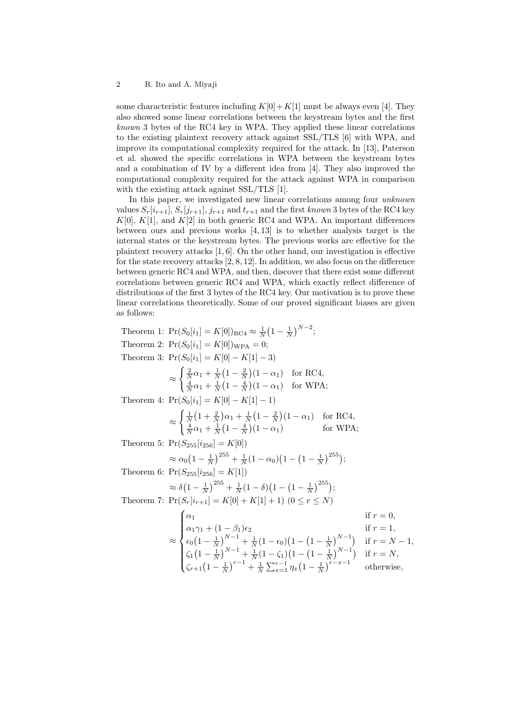some characteristic features including  $K[0]+K[1]$  must be always even [4]. They also showed some linear correlations between the keystream bytes and the first *known* 3 bytes of the RC4 key in WPA. They applied these linear correlations to the existing plaintext recovery attack against SSL/TLS [6] with WPA, and improve its computational complexity required for the attack. In [13], Paterson et al. showed the specific correlations in WPA between the keystream bytes and a combination of IV by a different idea from [4]. They also improved the computational complexity required for the attack against WPA in comparison with the existing attack against SSL/TLS [1].

In this paper, we investigated new linear correlations among four *unknown* values  $S_r[i_{r+1}], S_r[j_{r+1}], j_{r+1}$  and  $t_{r+1}$  and the first *known* 3 bytes of the RC4 key  $K[0], K[1],$  and  $K[2]$  in both generic RC4 and WPA. An important differences between ours and previous works [4, 13] is to whether analysis target is the internal states or the keystream bytes. The previous works are effective for the plaintext recovery attacks [1, 6]. On the other hand, our investigation is effective for the state recovery attacks [2, 8, 12]. In addition, we also focus on the difference between generic RC4 and WPA, and then, discover that there exist some different correlations between generic RC4 and WPA, which exactly reflect difference of distributions of the first 3 bytes of the RC4 key. Our motivation is to prove these linear correlations theoretically. Some of our proved significant biases are given as follows:

Theorem 1:  $Pr(S_0[i_1] = K[0])_{RC4} \approx \frac{1}{N} (1 - \frac{1}{N})^{N-2};$ Theorem 2:  $Pr(S_0[i_1] = K[0])_{\text{WPA}} = 0;$ Theorem 3:  $Pr(S_0[i_1] = K[0] - K[1] - 3)$ *≈*  $\int \frac{2}{N} \alpha_1 + \frac{1}{N} (1 - \frac{2}{N}) (1 - \alpha_1)$  for RC4,  $\frac{4}{N}\alpha_1 + \frac{1}{N}\left(1 - \frac{4}{N}\right)(1 - \alpha_1)$  for WPA; Theorem 4:  $Pr(S_0[i_1] = K[0] - K[1] - 1)$ *≈*  $\int \frac{1}{N} (1 + \frac{2}{N}) \alpha_1 + \frac{1}{N} (1 - \frac{2}{N}) (1 - \alpha_1)$  for RC4,  $\frac{4}{N}\alpha_1 + \frac{1}{N}(1 - \frac{4}{N})(1 - \alpha_1)$  for WPA; Theorem 5:  $Pr(S_{255}[i_{256}] = K[0])$  $\approx \alpha_0 \left(1 - \frac{1}{N}\right)^{255} + \frac{1}{N} (1 - \alpha_0) \left(1 - \left(1 - \frac{1}{N}\right)^{255}\right);$ Theorem 6:  $Pr(S_{255}[i_{256}] = K[1])$  $\approx \delta \left(1 - \frac{1}{N}\right)^{255} + \frac{1}{N}(1 - \delta)\left(1 - \left(1 - \frac{1}{N}\right)^{255}\right)$ ; Theorem 7:  $\Pr(S_r[i_{r+1}] = K[0] + K[1] + 1)$  (0 < *r* < *N*) *≈*  $\sqrt{ }$  $\Bigg\}$  $\overline{\mathcal{L}}$  $\alpha_1$  if  $r = 0$ ,  $\alpha_1 \gamma_1 + (1 - \beta_1)\epsilon_2$  if  $r = 1$ ,  $\epsilon_0 \left(1 - \frac{1}{N}\right)^{N-1} + \frac{1}{N} (1 - \epsilon_0) \left(1 - \left(1 - \frac{1}{N}\right)^{N-1}\right)$  if  $r = N - 1$ ,  $\zeta_1\left(1-\frac{1}{N}\right)^{N-1}+\frac{1}{N}\left(1-\zeta_1\right)\left(1-\left(1-\frac{1}{N}\right)^{N-1}\right)$  if  $r=N$ ,  $\zeta_{r+1}(1-\frac{1}{N})^{r-1} + \frac{1}{N}\sum_{x=1}^{r-1} \eta_x(1-\frac{1}{N})^{r-x-1}$  otherwise,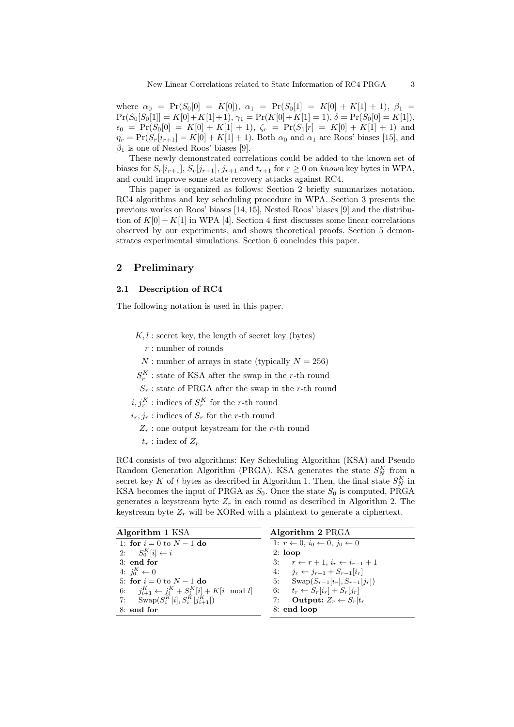where  $\alpha_0 = \Pr(S_0[0] = K[0])$ ,  $\alpha_1 = \Pr(S_0[1] = K[0] + K[1] + 1)$ ,  $\beta_1 =$  $Pr(S_0[S_0[1]] = K[0] + K[1] + 1), \gamma_1 = Pr(K[0] + K[1] = 1), \delta = Pr(S_0[0] = K[1]),$  $\epsilon_0$  = Pr( $S_0[0]$  = K[0] + K[1] + 1),  $\zeta_r$  = Pr( $S_1[r]$  = K[0] + K[1] + 1) and  $\eta_r = \Pr(S_r[i_{r+1}] = K[0] + K[1] + 1)$ . Both  $\alpha_0$  and  $\alpha_1$  are Roos' biases [15], and  $\beta_1$  is one of Nested Roos' biases [9].

These newly demonstrated correlations could be added to the known set of biases for  $S_r[i_{r+1}], S_r[j_{r+1}], j_{r+1}$  and  $t_{r+1}$  for  $r \geq 0$  on *known* key bytes in WPA, and could improve some state recovery attacks against RC4.

This paper is organized as follows: Section 2 briefly summarizes notation, RC4 algorithms and key scheduling procedure in WPA. Section 3 presents the previous works on Roos' biases [14, 15], Nested Roos' biases [9] and the distribution of  $K[0] + K[1]$  in WPA [4]. Section 4 first discusses some linear correlations observed by our experiments, and shows theoretical proofs. Section 5 demonstrates experimental simulations. Section 6 concludes this paper.

### **2 Preliminary**

# **2.1 Description of RC4**

The following notation is used in this paper.

 $K, l$ : secret key, the length of secret key (bytes)

*r* : number of rounds

*N* : number of arrays in state (typically  $N = 256$ )

 $S_r^K$ : state of KSA after the swap in the *r*-th round

 $S_r$ : state of PRGA after the swap in the *r*-th round

 $i, j_r^K$  : indices of  $S_r^K$  for the *r*-th round

- $i_r, j_r$ : indices of  $S_r$  for the *r*-th round
	- *Z<sup>r</sup>* : one output keystream for the *r*-th round
	- $t_r$ : index of  $Z_r$

RC4 consists of two algorithms: Key Scheduling Algorithm (KSA) and Pseudo Random Generation Algorithm (PRGA). KSA generates the state  $S_N^K$  from a secret key *K* of *l* bytes as described in Algorithm 1. Then, the final state  $S_N^K$  in KSA becomes the input of PRGA as  $S_0$ . Once the state  $S_0$  is computed, PRGA generates a keystream byte  $Z_r$  in each round as described in Algorithm 2. The keystream byte  $Z_r$  will be XORed with a plaintext to generate a ciphertext.

| Algorithm 1 KSA                                          | Algorithm 2 PRGA                                              |  |  |
|----------------------------------------------------------|---------------------------------------------------------------|--|--|
| 1: for $i = 0$ to $N - 1$ do                             | 1: $r \leftarrow 0$ , $i_0 \leftarrow 0$ , $i_0 \leftarrow 0$ |  |  |
| 2: $S_0^K[i] \leftarrow i$                               | $2:$ loop                                                     |  |  |
| $3:$ end for                                             | 3: $r \leftarrow r+1, i_r \leftarrow i_{r-1}+1$               |  |  |
| 4: $i_0^K \leftarrow 0$                                  | 4: $j_r \leftarrow j_{r-1} + S_{r-1}[i_r]$                    |  |  |
| 5: for $i = 0$ to $N - 1$ do                             | 5: $\text{Swap}(S_{r-1}[i_r], S_{r-1}[j_r])$                  |  |  |
| 6: $j_{i+1}^K \leftarrow j_i^K + S_i^K[i] + K[i \mod l]$ | 6: $t_r \leftarrow S_r[i_r] + S_r[j_r]$                       |  |  |
| 7: $\text{Swap}(S_i^K[i], S_i^K[j_{i+1}^K])$             | 7: Output: $Z_r \leftarrow S_r[t_r]$                          |  |  |
| $8:$ end for                                             | 8: end loop                                                   |  |  |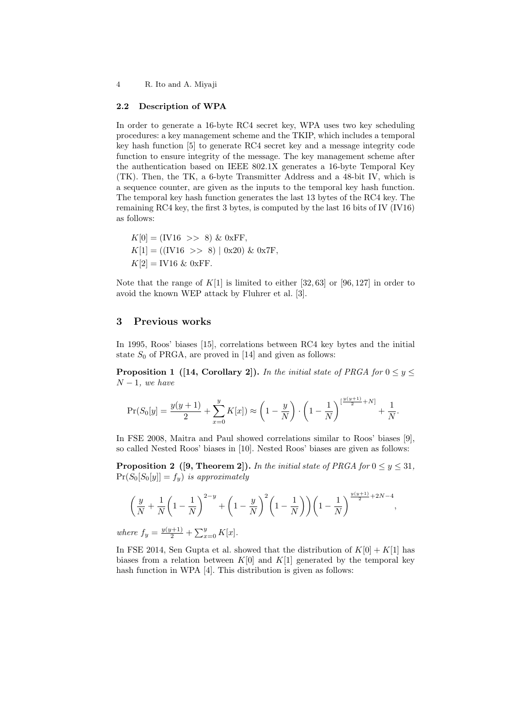#### **2.2 Description of WPA**

In order to generate a 16-byte RC4 secret key, WPA uses two key scheduling procedures: a key management scheme and the TKIP, which includes a temporal key hash function [5] to generate RC4 secret key and a message integrity code function to ensure integrity of the message. The key management scheme after the authentication based on IEEE 802.1X generates a 16-byte Temporal Key (TK). Then, the TK, a 6-byte Transmitter Address and a 48-bit IV, which is a sequence counter, are given as the inputs to the temporal key hash function. The temporal key hash function generates the last 13 bytes of the RC4 key. The remaining RC4 key, the first 3 bytes, is computed by the last 16 bits of IV (IV16) as follows:

 $K[0] = (IV16 \gg 8) \& 0 \text{xFF}$  $K[1] = ((IV16 \gg 8) | 0x20) \& 0x7F,$  $K[2] =$  **IV16** & 0xFF.

Note that the range of  $K[1]$  is limited to either [32, 63] or [96, 127] in order to avoid the known WEP attack by Fluhrer et al. [3].

#### **3 Previous works**

In 1995, Roos' biases [15], correlations between RC4 key bytes and the initial state  $S_0$  of PRGA, are proved in [14] and given as follows:

**Proposition 1** ([14, Corollary 2]). In the initial state of PRGA for  $0 \le y \le$ *N −* 1*, we have*

$$
\Pr(S_0[y] = \frac{y(y+1)}{2} + \sum_{x=0}^{y} K[x]) \approx \left(1 - \frac{y}{N}\right) \cdot \left(1 - \frac{1}{N}\right)^{\left[\frac{y(y+1)}{2} + N\right]} + \frac{1}{N}.
$$

In FSE 2008, Maitra and Paul showed correlations similar to Roos' biases [9], so called Nested Roos' biases in [10]. Nested Roos' biases are given as follows:

**Proposition 2** ([9, Theorem 2]). In the initial state of PRGA for  $0 \le y \le 31$ ,  $\Pr(S_0[S_0[y]] = f_y)$  *is approximately* 

$$
\left(\frac{y}{N} + \frac{1}{N}\left(1 - \frac{1}{N}\right)^{2-y} + \left(1 - \frac{y}{N}\right)^2 \left(1 - \frac{1}{N}\right)\right) \left(1 - \frac{1}{N}\right)^{\frac{y(y+1)}{2} + 2N - 4},
$$
  
where  $f = \frac{y(y+1)}{2} + \sum_{i=1}^{N} K[x]$ 

*where*  $f_y = \frac{y(y+1)}{2} + \sum_{x=0}^{y} K[x]$ .

In FSE 2014, Sen Gupta et al. showed that the distribution of  $K[0] + K[1]$  has biases from a relation between  $K[0]$  and  $K[1]$  generated by the temporal key hash function in WPA [4]. This distribution is given as follows: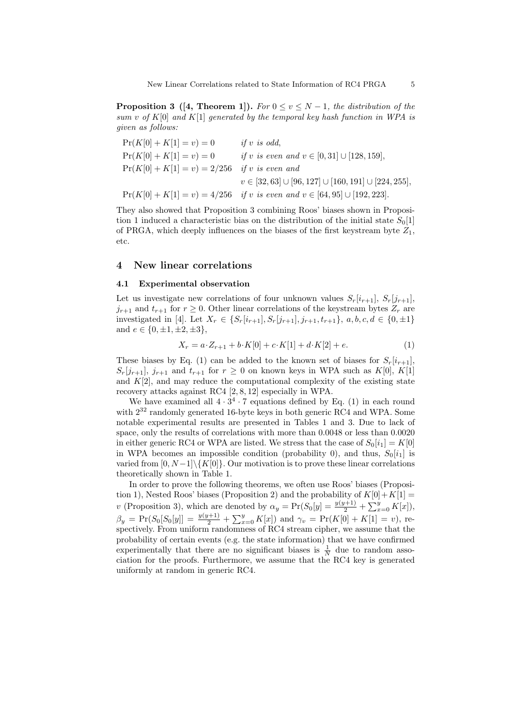**Proposition 3** ([4, Theorem 1]). *For*  $0 \le v \le N-1$ , the distribution of the *sum v of K*[0] *and K*[1] *generated by the temporal key hash function in WPA is given as follows:*

| $Pr(K[0]+K[1]=v)=0$       | if $v$ is odd.                                                                    |
|---------------------------|-----------------------------------------------------------------------------------|
| $Pr(K[0] + K[1] = v) = 0$ | if v is even and $v \in [0, 31] \cup [128, 159]$ ,                                |
| $Pr(K[0]+K[1]=v) = 2/256$ | <i>if</i> v <i>is even and</i>                                                    |
|                           | $v \in [32, 63] \cup [96, 127] \cup [160, 191] \cup [224, 255],$                  |
|                           | $Pr(K[0] + K[1] = v) = 4/256$ if v is even and $v \in [64, 95] \cup [192, 223]$ . |

They also showed that Proposition 3 combining Roos' biases shown in Proposition 1 induced a characteristic bias on the distribution of the initial state  $S_0[1]$ of PRGA, which deeply influences on the biases of the first keystream byte *Z*1, etc.

#### **4 New linear correlations**

#### **4.1 Experimental observation**

Let us investigate new correlations of four unknown values  $S_r[i_{r+1}], S_r[j_{r+1}],$  $j_{r+1}$  and  $t_{r+1}$  for  $r \geq 0$ . Other linear correlations of the keystream bytes  $Z_r$  are investigated in [4]. Let  $X_r \in \{S_r[i_{r+1}], S_r[j_{r+1}], j_{r+1}, t_{r+1}\}, a, b, c, d \in \{0, \pm 1\}$ and *e ∈ {*0*, ±*1*, ±*2*, ±*3*}*,

$$
X_r = a \cdot Z_{r+1} + b \cdot K[0] + c \cdot K[1] + d \cdot K[2] + e. \tag{1}
$$

These biases by Eq. (1) can be added to the known set of biases for  $S_r[i_{r+1}]$ ,  $S_r[j_{r+1}]$ ,  $j_{r+1}$  and  $t_{r+1}$  for  $r \geq 0$  on known keys in WPA such as  $K[0]$ ,  $K[1]$ and  $K[2]$ , and may reduce the computational complexity of the existing state recovery attacks against RC4 [2, 8, 12] especially in WPA.

We have examined all  $4 \cdot 3^4 \cdot 7$  equations defined by Eq. (1) in each round with  $2^{32}$  randomly generated 16-byte keys in both generic RC4 and WPA. Some notable experimental results are presented in Tables 1 and 3. Due to lack of space, only the results of correlations with more than 0*.*0048 or less than 0*.*0020 in either generic RC4 or WPA are listed. We stress that the case of  $S_0[i_1] = K[0]$ in WPA becomes an impossible condition (probability 0), and thus,  $S_0[i_1]$  is varied from  $[0, N-1]$  $\{K[0]\}$ . Our motivation is to prove these linear correlations theoretically shown in Table 1.

In order to prove the following theorems, we often use Roos' biases (Proposition 1), Nested Roos' biases (Proposition 2) and the probability of  $K[0]+K[1] =$ *v* (Proposition 3), which are denoted by  $\alpha_y = \Pr(S_0[y] = \frac{y(y+1)}{2} + \sum_{x=0}^{y} K[x])$ ,  $\beta_y = \Pr(S_0[S_0[y]] = \frac{y(y+1)}{2} + \sum_{x=0}^y K[x]$  and  $\gamma_v = \Pr(K[0] + K[1] = v)$ , respectively. From uniform randomness of RC4 stream cipher, we assume that the probability of certain events (e.g. the state information) that we have confirmed experimentally that there are no significant biases is  $\frac{1}{N}$  due to random association for the proofs. Furthermore, we assume that the RC4 key is generated uniformly at random in generic RC4.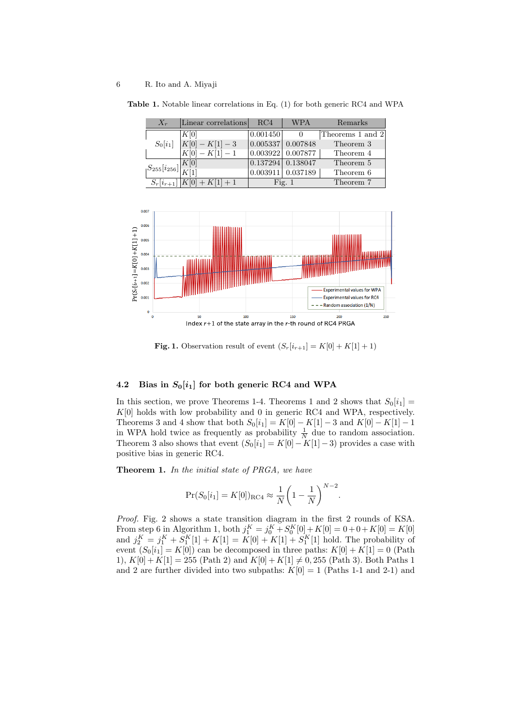| $X_r$                                  | Linear correlations           | RC4      | <b>WPA</b>              | Remarks          |
|----------------------------------------|-------------------------------|----------|-------------------------|------------------|
|                                        | K[0]                          | 0.001450 |                         | Theorems 1 and 2 |
| $S_0[i_1]$                             | $K[0] - K[1] - 3$             |          | 0.005337   0.007848     | Theorem 3        |
|                                        | $K[0] - K[1] - 1$             |          | $0.003922$   $0.007877$ | Theorem 4        |
| $S_{255}[i_{256}]$ $\frac{K[0]}{K[1]}$ |                               |          | 0.137294   0.138047     | Theorem 5        |
|                                        |                               |          | 0.003911   0.037189     | Theorem 6        |
|                                        | $S_r[i_{r+1}]$ $ K[0]+K[1]+1$ |          | Fig. $1$                | Theorem 7        |

**Table 1.** Notable linear correlations in Eq. (1) for both generic RC4 and WPA



**Fig. 1.** Observation result of event  $(S_r[i_{r+1}] = K[0] + K[1] + 1)$ 

#### **4.2** Bias in  $S_0[i_1]$  for both generic RC4 and WPA

In this section, we prove Theorems 1-4. Theorems 1 and 2 shows that  $S_0[i_1] =$ *K*[0] holds with low probability and 0 in generic RC4 and WPA, respectively. Theorems 3 and 4 show that both  $S_0[i_1] = K[0] - K[1] - 3$  and  $K[0] - K[1] - 1$ in WPA hold twice as frequently as probability  $\frac{1}{N}$  due to random association. Theorem 3 also shows that event  $(S_0[i_1] = K[0] - K[1] - 3)$  provides a case with positive bias in generic RC4.

**Theorem 1.** *In the initial state of PRGA, we have*

$$
Pr(S_0[i_1] = K[0])_{RC4} \approx \frac{1}{N} \left(1 - \frac{1}{N}\right)^{N-2}.
$$

*Proof.* Fig. 2 shows a state transition diagram in the first 2 rounds of KSA. From step 6 in Algorithm 1, both  $j_1^K = j_0^K + S_0^K[0] + K[0] = 0 + 0 + K[0] = K[0]$ and  $j_2^K = j_1^K + S_1^K[1] + K[1] = K[0] + K[1] + S_1^K[1]$  hold. The probability of event  $(S_0[i_1] = K[0])$  can be decomposed in three paths:  $K[0] + K[1] = 0$  (Path 1),  $K[0] + K[1] = 255$  (Path 2) and  $K[0] + K[1] \neq 0,255$  (Path 3). Both Paths 1 and 2 are further divided into two subpaths:  $K[0] = 1$  (Paths 1-1 and 2-1) and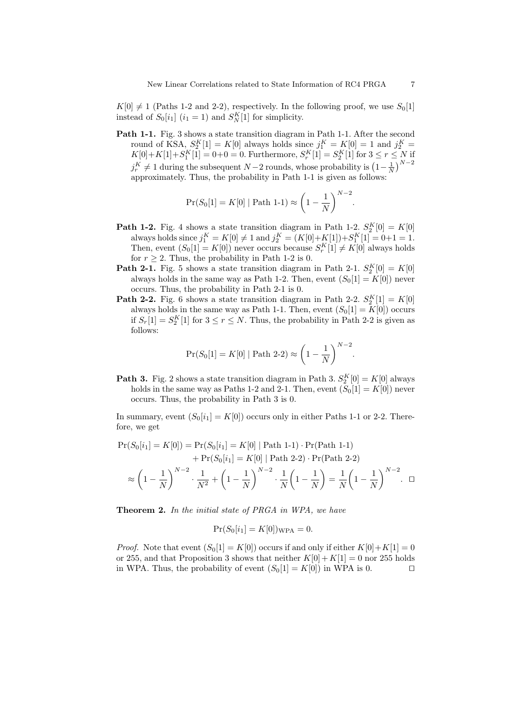$K[0] \neq 1$  (Paths 1-2 and 2-2), respectively. In the following proof, we use  $S_0[1]$ instead of  $S_0[i_1]$   $(i_1 = 1)$  and  $S_N^K[1]$  for simplicity.

Path 1-1. Fig. 3 shows a state transition diagram in Path 1-1. After the second round of KSA,  $S_2^K[1] = K[0]$  always holds since  $j_1^K = K[0] = 1$  and  $j_2^K =$  $K[0]+K[1]+S_1^K[1] = 0+0 = 0.$  Furthermore,  $S_r^K[1] = S_2^K[1]$  for  $3 \leq r \leq N$  if  $j_r^K \neq 1$  during the subsequent *N* − 2 rounds, whose probability is  $(1 - \frac{1}{N})^{N-2}$ approximately. Thus, the probability in Path 1-1 is given as follows:

$$
Pr(S_0[1] = K[0] | Path 1-1) \approx \left(1 - \frac{1}{N}\right)^{N-2}.
$$

- **Path 1-2.** Fig. 4 shows a state transition diagram in Path 1-2.  $S_2^K[0] = K[0]$ always holds since  $j_1^K = K[0] \neq 1$  and  $j_2^K = (K[0]+K[1]) + S_1^K[1] = 0+1 = 1$ . Then, event  $(S_0[1] = K[0])$  never occurs because  $S_r^K[1] \neq K[0]$  always holds for  $r \geq 2$ . Thus, the probability in Path 1-2 is 0.
- **Path 2-1.** Fig. 5 shows a state transition diagram in Path 2-1.  $S_2^K[0] = K[0]$ always holds in the same way as Path 1-2. Then, event  $(S_0[1] = K[0])$  never occurs. Thus, the probability in Path 2-1 is 0.
- **Path 2-2.** Fig. 6 shows a state transition diagram in Path 2-2.  $S_2^K[1] = K[0]$ always holds in the same way as Path 1-1. Then, event  $(S_0[1] = K[0])$  occurs if  $S_r[1] = S_2^K[1]$  for  $3 \le r \le N$ . Thus, the probability in Path 2-2 is given as follows:

$$
Pr(S_0[1] = K[0] | Path 2-2) \approx \left(1 - \frac{1}{N}\right)^{N-2}.
$$

**Path 3.** Fig. 2 shows a state transition diagram in Path 3.  $S_2^K[0] = K[0]$  always holds in the same way as Paths 1-2 and 2-1. Then, event  $(S_0[1] = K[0])$  never occurs. Thus, the probability in Path 3 is 0.

In summary, event  $(S_0[i_1] = K[0])$  occurs only in either Paths 1-1 or 2-2. Therefore, we get

$$
\Pr(S_0[i_1] = K[0]) = \Pr(S_0[i_1] = K[0] \mid \text{Path 1-1}) \cdot \Pr(\text{Path 1-1}) + \Pr(S_0[i_1] = K[0] \mid \text{Path 2-2}) \cdot \Pr(\text{Path 2-2}) \approx \left(1 - \frac{1}{N}\right)^{N-2} \cdot \frac{1}{N^2} + \left(1 - \frac{1}{N}\right)^{N-2} \cdot \frac{1}{N} \left(1 - \frac{1}{N}\right) = \frac{1}{N} \left(1 - \frac{1}{N}\right)^{N-2} \cdot \Box
$$

**Theorem 2.** *In the initial state of PRGA in WPA, we have*

$$
Pr(S_0[i_1] = K[0])_{\text{WPA}} = 0.
$$

*Proof.* Note that event  $(S_0[1] = K[0])$  occurs if and only if either  $K[0]+K[1] = 0$ or 255, and that Proposition 3 shows that neither  $K[0]+K[1]=0$  nor 255 holds in WPA. Thus, the probability of event  $(S_0[1] = K[0])$  in WPA is 0.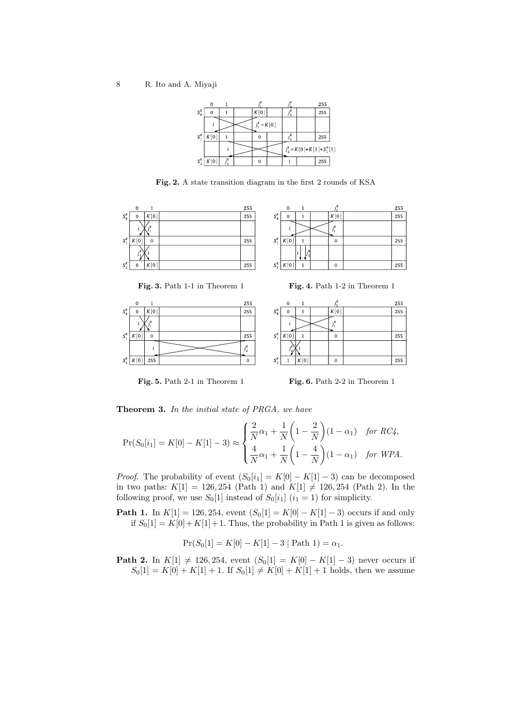8 R. Ito and A. Miyaji



**Fig. 2.** A state transition diagram in the first 2 rounds of KSA









|                                     | $\mathbf 0$ | 1    | ÷К       | 255 |
|-------------------------------------|-------------|------|----------|-----|
| $S_0^K$                             | 0           |      | K[0]     | 255 |
|                                     |             |      | : K      |     |
| $S_1^K$                             | K[0]        |      | O        | 255 |
|                                     |             |      |          |     |
| $\boldsymbol{S}^{\boldsymbol{K}}_2$ |             | K[0] | $\Omega$ | 255 |

**Fig. 5.** Path 2-1 in Theorem 1 **Fig. 6.** Path 2-2 in Theorem 1

**Theorem 3.** *In the initial state of PRGA, we have*

$$
\Pr(S_0[i_1] = K[0] - K[1] - 3) \approx \begin{cases} \frac{2}{N}\alpha_1 + \frac{1}{N}\left(1 - \frac{2}{N}\right)(1 - \alpha_1) & \text{for } RC4, \\ \frac{4}{N}\alpha_1 + \frac{1}{N}\left(1 - \frac{4}{N}\right)(1 - \alpha_1) & \text{for } WPA. \end{cases}
$$

*Proof.* The probability of event  $(S_0[i_1] = K[0] - K[1] - 3)$  can be decomposed in two paths:  $K[1] = 126, 254$  (Path 1) and  $K[1] \neq 126, 254$  (Path 2). In the following proof, we use  $S_0[1]$  instead of  $S_0[i_1]$  ( $i_1 = 1$ ) for simplicity.

**Path 1.** In  $K[1] = 126, 254$ , event  $(S_0[1] = K[0] - K[1] - 3)$  occurs if and only if  $S_0[1] = K[0] + K[1] + 1$ . Thus, the probability in Path 1 is given as follows:

$$
Pr(S_0[1] = K[0] - K[1] - 3 | Path 1) = \alpha_1.
$$

**Path 2.** In  $K[1]$  ≠ 126, 254, event  $(S_0[1] = K[0] - K[1] - 3)$  never occurs if  $S_0[1] = K[0] + K[1] + 1$ . If  $S_0[1] \neq K[0] + K[1] + 1$  holds, then we assume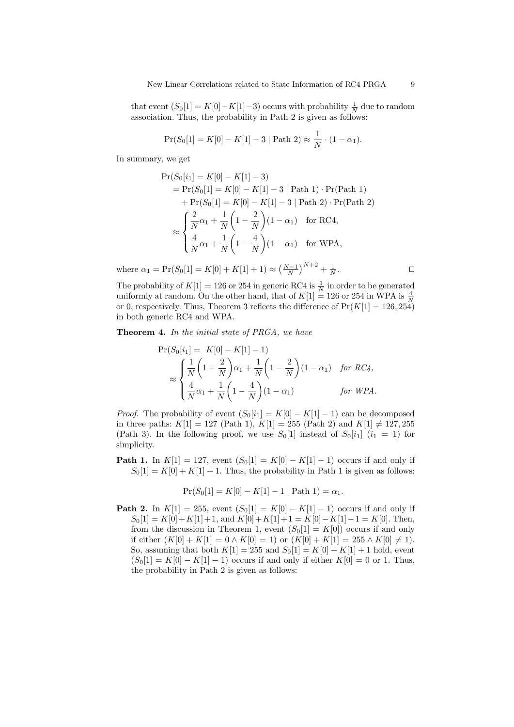that event  $(S_0[1] = K[0] - K[1] - 3)$  occurs with probability  $\frac{1}{N}$  due to random association. Thus, the probability in Path 2 is given as follows:

$$
Pr(S_0[1] = K[0] - K[1] - 3 | Path 2) \approx \frac{1}{N} \cdot (1 - \alpha_1).
$$

In summary, we get

$$
\Pr(S_0[i_1] = K[0] - K[1] - 3)
$$
\n
$$
= \Pr(S_0[1] = K[0] - K[1] - 3 | \text{ Path 1}) \cdot \Pr(\text{Path 1})
$$
\n
$$
+ \Pr(S_0[1] = K[0] - K[1] - 3 | \text{Path 2}) \cdot \Pr(\text{Path 2})
$$
\n
$$
\approx \begin{cases} \frac{2}{N}\alpha_1 + \frac{1}{N}\left(1 - \frac{2}{N}\right)(1 - \alpha_1) & \text{for RC4,} \\ \frac{4}{N}\alpha_1 + \frac{1}{N}\left(1 - \frac{4}{N}\right)(1 - \alpha_1) & \text{for WPA,} \end{cases}
$$

where  $\alpha_1 = \Pr(S_0[1] = K[0] + K[1] + 1) \approx \left(\frac{N-1}{N}\right)^{N+2} + \frac{1}{N}$ . *ut*

The probability of  $K[1] = 126$  or 254 in generic RC4 is  $\frac{1}{N}$  in order to be generated uniformly at random. On the other hand, that of  $K[1] = 126$  or 254 in WPA is  $\frac{4}{N}$ or 0, respectively. Thus, Theorem 3 reflects the difference of  $Pr(K[1] = 126, 254)$ in both generic RC4 and WPA.

**Theorem 4.** *In the initial state of PRGA, we have*

$$
\Pr(S_0[i_1] = K[0] - K[1] - 1)
$$
\n
$$
\approx \begin{cases}\n\frac{1}{N}\left(1 + \frac{2}{N}\right)\alpha_1 + \frac{1}{N}\left(1 - \frac{2}{N}\right)(1 - \alpha_1) & \text{for RC4,} \\
\frac{4}{N}\alpha_1 + \frac{1}{N}\left(1 - \frac{4}{N}\right)(1 - \alpha_1) & \text{for WPA.}\n\end{cases}
$$

*Proof.* The probability of event  $(S_0[i_1] = K[0] - K[1] - 1)$  can be decomposed in three paths:  $K[1] = 127$  (Path 1),  $K[1] = 255$  (Path 2) and  $K[1] \neq 127,255$ (Path 3). In the following proof, we use  $S_0[1]$  instead of  $S_0[i_1]$  ( $i_1 = 1$ ) for simplicity.

**Path 1.** In  $K[1] = 127$ , event  $(S_0[1] = K[0] - K[1] - 1)$  occurs if and only if  $S_0[1] = K[0] + K[1] + 1$ . Thus, the probability in Path 1 is given as follows:

$$
Pr(S_0[1] = K[0] - K[1] - 1 | Path 1) = \alpha_1.
$$

**Path 2.** In  $K[1] = 255$ , event  $(S_0[1] = K[0] - K[1] - 1)$  occurs if and only if  $S_0[1] = K[0] + K[1] + 1$ , and  $K[0] + K[1] + 1 = K[0] - K[1] - 1 = K[0]$ . Then, from the discussion in Theorem 1, event  $(S_0[1] = K[0])$  occurs if and only if either  $(K[0] + K[1] = 0 \wedge K[0] = 1$  or  $(K[0] + K[1] = 255 \wedge K[0] \neq 1$ . So, assuming that both  $K[1] = 255$  and  $S_0[1] = K[0] + K[1] + 1$  hold, event  $(S_0[1] = K[0] - K[1] - 1)$  occurs if and only if either  $K[0] = 0$  or 1. Thus, the probability in Path 2 is given as follows: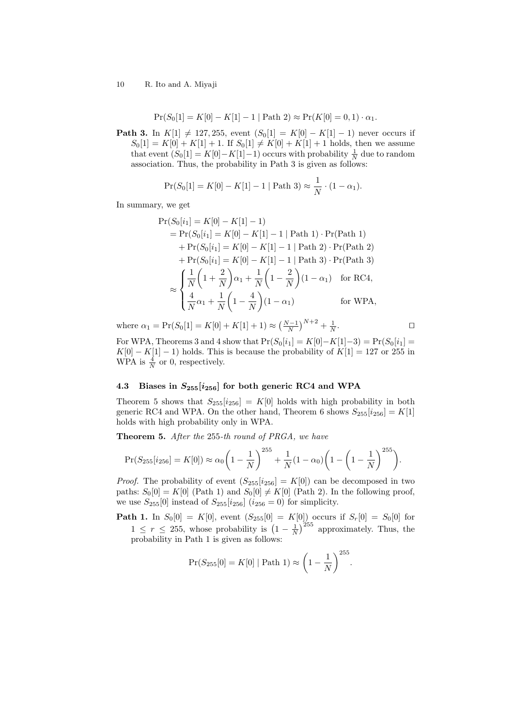$$
Pr(S_0[1] = K[0] - K[1] - 1 | Path 2) \approx Pr(K[0] = 0, 1) \cdot \alpha_1.
$$

**Path 3.** In *K*[1]  $\neq$  127*,* 255*,* event  $(S_0[1] = K[0] - K[1] - 1)$  never occurs if  $S_0[1] = K[0] + K[1] + 1$ . If  $S_0[1] \neq K[0] + K[1] + 1$  holds, then we assume that event  $(S_0[1] = K[0] - K[1] - 1)$  occurs with probability  $\frac{1}{N}$  due to random association. Thus, the probability in Path 3 is given as follows:

$$
Pr(S_0[1] = K[0] - K[1] - 1 | Path 3) \approx \frac{1}{N} \cdot (1 - \alpha_1).
$$

In summary, we get

$$
\Pr(S_0[i_1] = K[0] - K[1] - 1)
$$
\n
$$
= \Pr(S_0[i_1] = K[0] - K[1] - 1 | \text{Path 1}) \cdot \Pr(\text{Path 1})
$$
\n
$$
+ \Pr(S_0[i_1] = K[0] - K[1] - 1 | \text{Path 2}) \cdot \Pr(\text{Path 2})
$$
\n
$$
+ \Pr(S_0[i_1] = K[0] - K[1] - 1 | \text{Path 3}) \cdot \Pr(\text{Path 3})
$$
\n
$$
\approx \begin{cases} \frac{1}{N} \left( 1 + \frac{2}{N} \right) \alpha_1 + \frac{1}{N} \left( 1 - \frac{2}{N} \right) (1 - \alpha_1) & \text{for RC4,} \\ \frac{4}{N} \alpha_1 + \frac{1}{N} \left( 1 - \frac{4}{N} \right) (1 - \alpha_1) & \text{for WPA,} \end{cases}
$$

where  $\alpha_1 = \Pr(S_0[1] = K[0] + K[1] + 1) \approx \left(\frac{N-1}{N}\right)^{N+2} + \frac{1}{N}$ . *ut*

For WPA, Theorems 3 and 4 show that  $Pr(S_0[i_1] = K[0] - K[1] - 3) = Pr(S_0[i_1] =$  $K[0] - K[1] - 1$ ) holds. This is because the probability of  $K[1] = 127$  or 255 in WPA is  $\frac{4}{N}$  or 0, respectively.

# **4.3 Biases in** *S***255[***i***256] for both generic RC4 and WPA**

Theorem 5 shows that  $S_{255}[i_{256}] = K[0]$  holds with high probability in both generic RC4 and WPA. On the other hand, Theorem 6 shows  $S_{255}[i_{256}] = K[1]$ holds with high probability only in WPA.

**Theorem 5.** *After the* 255*-th round of PRGA, we have*

$$
Pr(S_{255}[i_{256}] = K[0]) \approx \alpha_0 \left(1 - \frac{1}{N}\right)^{255} + \frac{1}{N}(1 - \alpha_0) \left(1 - \left(1 - \frac{1}{N}\right)^{255}\right).
$$

*Proof.* The probability of event  $(S_{255}[i_{256}] = K[0])$  can be decomposed in two paths:  $S_0[0] = K[0]$  (Path 1) and  $S_0[0] \neq K[0]$  (Path 2). In the following proof, we use  $S_{255}[0]$  instead of  $S_{255}[i_{256}]$   $(i_{256}=0)$  for simplicity.

**Path 1.** In  $S_0[0] = K[0]$ , event  $(S_{255}[0] = K[0])$  occurs if  $S_r[0] = S_0[0]$  for  $1 \leq r \leq 255$ , whose probability is  $\left(1 - \frac{1}{N}\right)^{255}$  approximately. Thus, the probability in Path 1 is given as follows:

$$
Pr(S_{255}[0] = K[0] | Path 1) \approx \left(1 - \frac{1}{N}\right)^{255}.
$$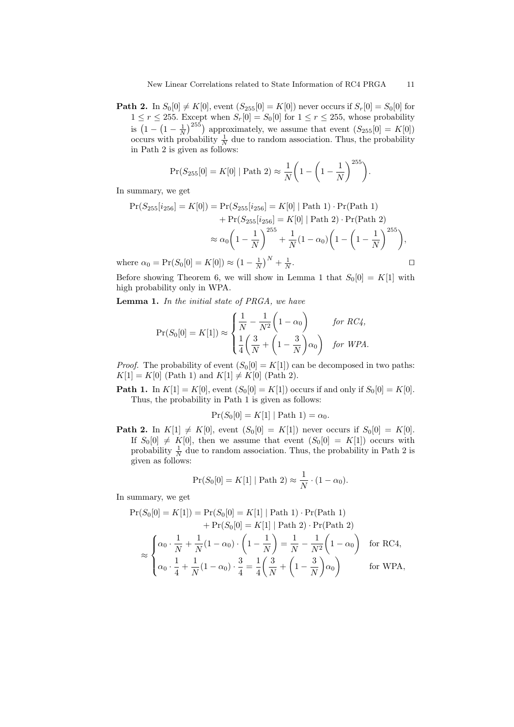**Path 2.** In  $S_0[0] \neq K[0]$ , event  $(S_{255}[0] = K[0])$  never occurs if  $S_r[0] = S_0[0]$  for  $1 \leq r \leq 255$ . Except when  $S_r[0] = S_0[0]$  for  $1 \leq r \leq 255$ , whose probability is  $(1 - (1 - \frac{1}{N})^{255})$  approximately, we assume that event  $(S_{255}[0] = K[0])$ occurs with probability  $\frac{1}{N}$  due to random association. Thus, the probability in Path 2 is given as follows:

$$
Pr(S_{255}[0] = K[0] | Path 2) \approx \frac{1}{N} \left( 1 - \left( 1 - \frac{1}{N} \right)^{255} \right).
$$

In summary, we get

$$
\Pr(S_{255}[i_{256}] = K[0]) = \Pr(S_{255}[i_{256}] = K[0] | \text{Path 1}) \cdot \Pr(\text{Path 1}) + \Pr(S_{255}[i_{256}] = K[0] | \text{Path 2}) \cdot \Pr(\text{Path 2})
$$

$$
\approx \alpha_0 \left(1 - \frac{1}{N}\right)^{255} + \frac{1}{N}(1 - \alpha_0) \left(1 - \left(1 - \frac{1}{N}\right)^{255}\right),
$$
  
ere  $\alpha_0 = \Pr(S_0[0] = K[0]) \approx \left(1 - \frac{1}{N}\right)^N + \frac{1}{N}.$ 

where  $\alpha_0 = \Pr(S_0[0] = K[0]) \approx (1 - \frac{1}{N})^N + \frac{1}{N}$ 

Before showing Theorem 6, we will show in Lemma 1 that  $S_0[0] = K[1]$  with high probability only in WPA.

**Lemma 1.** *In the initial state of PRGA, we have*

$$
Pr(S_0[0] = K[1]) \approx \begin{cases} \frac{1}{N} - \frac{1}{N^2} \left( 1 - \alpha_0 \right) & \text{for RC4,} \\ \frac{1}{4} \left( \frac{3}{N} + \left( 1 - \frac{3}{N} \right) \alpha_0 \right) & \text{for WPA.} \end{cases}
$$

*Proof.* The probability of event  $(S_0[0] = K[1])$  can be decomposed in two paths:  $K[1] = K[0]$  (Path 1) and  $K[1] \neq K[0]$  (Path 2).

**Path 1.** In  $K[1] = K[0]$ , event  $(S_0[0] = K[1])$  occurs if and only if  $S_0[0] = K[0]$ . Thus, the probability in Path 1 is given as follows:

$$
Pr(S_0[0] = K[1] | Path 1) = \alpha_0.
$$

**Path 2.** In  $K[1] \neq K[0]$ , event  $(S_0[0] = K[1])$  never occurs if  $S_0[0] = K[0]$ . If  $S_0[0] \neq K[0]$ , then we assume that event  $(S_0[0] = K[1])$  occurs with probability  $\frac{1}{N}$  due to random association. Thus, the probability in Path 2 is given as follows:

$$
Pr(S_0[0] = K[1] | Path 2) \approx \frac{1}{N} \cdot (1 - \alpha_0).
$$

In summary, we get

$$
\Pr(S_0[0] = K[1]) = \Pr(S_0[0] = K[1] | \text{Path 1}) \cdot \Pr(\text{Path 1}) + \Pr(S_0[0] = K[1] | \text{Path 2}) \cdot \Pr(\text{Path 2}) \approx \begin{cases} \alpha_0 \cdot \frac{1}{N} + \frac{1}{N} (1 - \alpha_0) \cdot \left(1 - \frac{1}{N}\right) = \frac{1}{N} - \frac{1}{N^2} \left(1 - \alpha_0\right) & \text{for RC4,} \\ \alpha_0 \cdot \frac{1}{4} + \frac{1}{N} (1 - \alpha_0) \cdot \frac{3}{4} = \frac{1}{4} \left(\frac{3}{N} + \left(1 - \frac{3}{N}\right) \alpha_0\right) & \text{for WPA,} \end{cases}
$$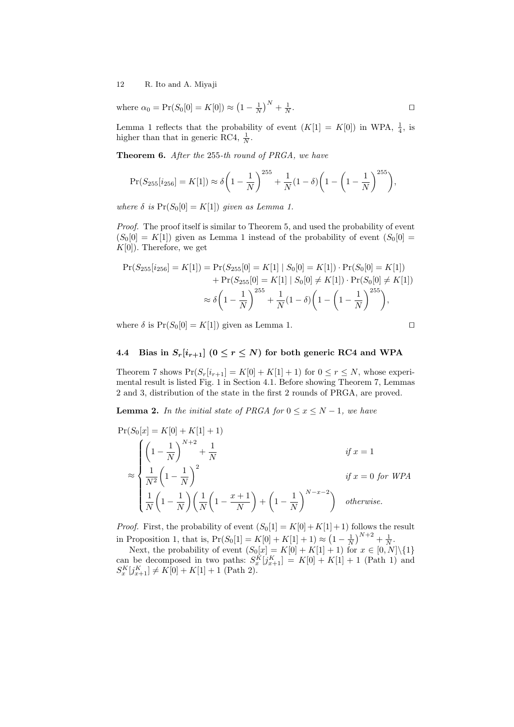where  $\alpha_0 = \Pr(S_0[0] = K[0]) \approx (1 - \frac{1}{N})^N + \frac{1}{N}$ . *ut*

Lemma 1 reflects that the probability of event  $(K[1] = K[0])$  in WPA,  $\frac{1}{4}$ , is higher than that in generic RC4,  $\frac{1}{N}$ .

**Theorem 6.** *After the* 255*-th round of PRGA, we have*

$$
Pr(S_{255}[i_{256}] = K[1]) \approx \delta \left(1 - \frac{1}{N}\right)^{255} + \frac{1}{N}(1 - \delta) \left(1 - \left(1 - \frac{1}{N}\right)^{255}\right),
$$

*where*  $\delta$  *is*  $Pr(S_0[0] = K[1])$  *given as Lemma 1.* 

*Proof.* The proof itself is similar to Theorem 5, and used the probability of event  $(S_0[0] = K[1])$  given as Lemma 1 instead of the probability of event  $(S_0[0] =$ *K*[0]). Therefore, we get

$$
\Pr(S_{255}[i_{256}] = K[1]) = \Pr(S_{255}[0] = K[1] \mid S_0[0] = K[1]) \cdot \Pr(S_0[0] = K[1]) \n+ \Pr(S_{255}[0] = K[1] \mid S_0[0] \neq K[1]) \cdot \Pr(S_0[0] \neq K[1]) \n\approx \delta \left(1 - \frac{1}{N}\right)^{255} + \frac{1}{N}(1 - \delta) \left(1 - \left(1 - \frac{1}{N}\right)^{255}\right),
$$

where  $\delta$  is  $Pr(S_0[0] = K[1])$  given as Lemma 1.

# **4.4** Bias in  $S_r[i_{r+1}]$  ( $0 \le r \le N$ ) for both generic RC4 and WPA

Theorem 7 shows  $Pr(S_r[i_{r+1}] = K[0] + K[1] + 1)$  for  $0 \le r \le N$ , whose experimental result is listed Fig. 1 in Section 4.1. Before showing Theorem 7, Lemmas 2 and 3, distribution of the state in the first 2 rounds of PRGA, are proved.

**Lemma 2.** *In the initial state of PRGA for*  $0 \le x \le N - 1$ *, we have* 

$$
\Pr(S_0[x] = K[0] + K[1] + 1)
$$
\n
$$
\approx \begin{cases}\n\left(1 - \frac{1}{N}\right)^{N+2} + \frac{1}{N} & \text{if } x = 1 \\
\frac{1}{N^2} \left(1 - \frac{1}{N}\right)^2 & \text{if } x = 0 \text{ for WPA} \\
\frac{1}{N} \left(1 - \frac{1}{N}\right) \left(\frac{1}{N} \left(1 - \frac{x+1}{N}\right) + \left(1 - \frac{1}{N}\right)^{N-x-2}\right) & \text{otherwise.} \n\end{cases}
$$

*Proof.* First, the probability of event  $(S_0[1] = K[0] + K[1] + 1)$  follows the result in Proposition 1, that is,  $Pr(S_0[1] = K[0] + K[1] + 1) \approx (1 - \frac{1}{N})^{N+2} + \frac{1}{N}$ .

Next, the probability of event  $(S_0[x] = K[0] + K[1] + 1)$  for  $x \in [0, N] \setminus \{1\}$ can be decomposed in two paths:  $S_{x}^{K}[j_{x+1}^{K}] = K[0] + K[1] + 1$  (Path 1) and  $S_{x}^{K}[j_{x+1}^{K}] = K[0] + K[1] + 1$  $S_{x}^{K}[j_{x+1}^{K}] \neq K[0] + K[1] + 1$  (Path 2).

$$
\qquad \qquad \Box
$$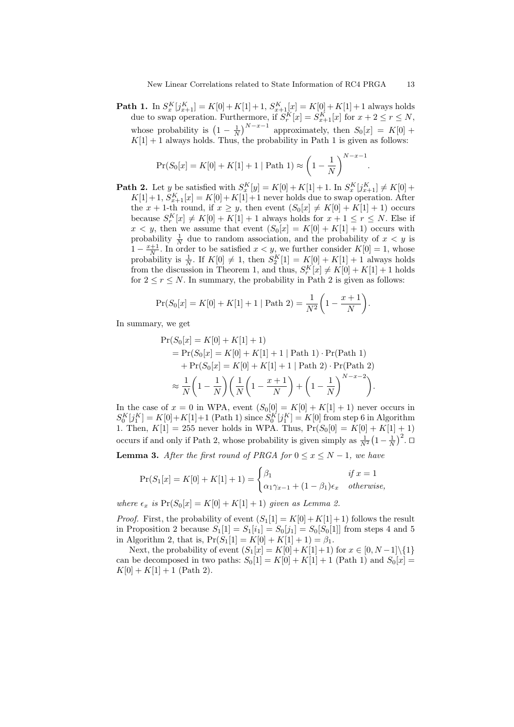**Path 1.** In  $S_x^K[j_{x+1}^K] = K[0] + K[1] + 1$ ,  $S_{x+1}^K[x] = K[0] + K[1] + 1$  always holds due to swap operation. Furthermore, if  $S_r^K[x] = S_{x+1}^K[x]$  for  $x+2 \le r \le N$ , whose probability is  $\left(1 - \frac{1}{N}\right)^{N-x-1}$  approximately, then  $S_0[x] = K[0] +$  $K[1] + 1$  always holds. Thus, the probability in Path 1 is given as follows:

$$
Pr(S_0[x] = K[0] + K[1] + 1 | Path 1) \approx \left(1 - \frac{1}{N}\right)^{N - x - 1}
$$

**Path 2.** Let *y* be satisfied with  $S_x^K[y] = K[0] + K[1] + 1$ . In  $S_x^K[j_{x+1}^K] \neq K[0] +$  $K[1] + 1, S_{x+1}^K[x] = K[0] + K[1] + 1$  never holds due to swap operation. After the  $x + 1$ -th round, if  $x \geq y$ , then event  $(S_0[x] \neq K[0] + K[1] + 1)$  occurs because  $S_r^K[x] \neq K[0] + K[1] + 1$  always holds for  $x + 1 \leq r \leq N$ . Else if  $x < y$ , then we assume that event  $(S_0[x] = K[0] + K[1] + 1)$  occurs with probability  $\frac{1}{N}$  due to random association, and the probability of  $x < y$  is 1 *−*  $\frac{x+1}{N}$ . In order to be satisfied  $x < y$ , we further consider  $K[0] = 1$ , whose probability is  $\frac{1}{N}$ . If  $K[0] \neq 1$ , then  $S_2^K[1] = K[0] + K[1] + 1$  always holds from the discussion in Theorem 1, and thus,  $S_r^K[x] \neq K[0] + K[1] + 1$  holds for  $2 \le r \le N$ . In summary, the probability in Path 2 is given as follows:

$$
Pr(S_0[x] = K[0] + K[1] + 1 | Path 2) = \frac{1}{N^2} \left( 1 - \frac{x+1}{N} \right).
$$

In summary, we get

$$
\Pr(S_0[x] = K[0] + K[1] + 1)
$$
\n
$$
= \Pr(S_0[x] = K[0] + K[1] + 1 | \text{Path 1}) \cdot \Pr(\text{Path 1})
$$
\n
$$
+ \Pr(S_0[x] = K[0] + K[1] + 1 | \text{Path 2}) \cdot \Pr(\text{Path 2})
$$
\n
$$
\approx \frac{1}{N} \left( 1 - \frac{1}{N} \right) \left( \frac{1}{N} \left( 1 - \frac{x+1}{N} \right) + \left( 1 - \frac{1}{N} \right)^{N-x-2} \right).
$$

In the case of  $x = 0$  in WPA, event  $(S_0[0] = K[0] + K[1] + 1)$  never occurs in  $S_0^K[j_1^K] = K[0] + K[1] + 1$  (Path 1) since  $S_0^K[j_1^K] = K[0]$  from step 6 in Algorithm 1. Then,  $K[1] = 255$  never holds in WPA. Thus,  $Pr(S_0[0] = K[0] + K[1] + 1)$ occurs if and only if Path 2, whose probability is given simply as  $\frac{1}{N^2}(1-\frac{1}{N})^2$ . <del>□</del>

**Lemma 3.** *After the first round of PRGA for*  $0 \le x \le N - 1$ *, we have* 

$$
\Pr(S_1[x] = K[0] + K[1] + 1) = \begin{cases} \beta_1 & \text{if } x = 1\\ \alpha_1 \gamma_{x-1} + (1 - \beta_1)\epsilon_x & \text{otherwise,} \end{cases}
$$

*where*  $\epsilon_x$  *is*  $Pr(S_0[x] = K[0] + K[1] + 1)$  *given as Lemma 2.* 

*Proof.* First, the probability of event  $(S_1[1] = K[0] + K[1] + 1)$  follows the result in Proposition 2 because  $S_1[1] = S_1[i_1] = S_0[j_1] = S_0[S_0[1]]$  from steps 4 and 5 in Algorithm 2, that is,  $Pr(S_1[1] = K[0] + K[1] + 1) = \beta_1$ .

Next, the probability of event  $(S_1[x] = K[0] + K[1] + 1)$  for  $x \in [0, N-1] \setminus \{1\}$ can be decomposed in two paths:  $S_0[1] = K[0] + K[1] + 1$  (Path 1) and  $S_0[x] =$  $K[0] + K[1] + 1$  (Path 2).

*.*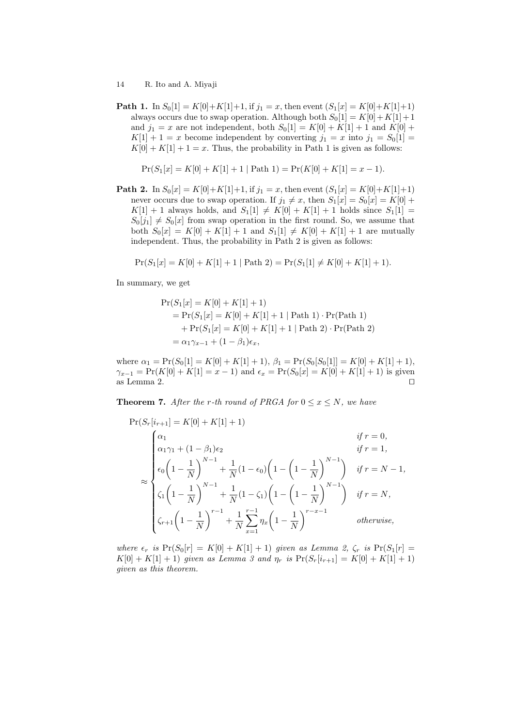**Path 1.** In  $S_0[1] = K[0]+K[1]+1$ , if  $j_1 = x$ , then event  $(S_1[x] = K[0]+K[1]+1)$ always occurs due to swap operation. Although both  $S_0[1] = K[0] + K[1] + 1$ and  $j_1 = x$  are not independent, both  $S_0[1] = K[0] + K[1] + 1$  and  $K[0] +$  $K[1] + 1 = x$  become independent by converting  $j_1 = x$  into  $j_1 = S_0[1] =$  $K[0] + K[1] + 1 = x$ . Thus, the probability in Path 1 is given as follows:

$$
Pr(S_1[x] = K[0] + K[1] + 1 | Path 1) = Pr(K[0] + K[1] = x - 1).
$$

**Path 2.** In  $S_0[x] = K[0]+K[1]+1$ , if  $j_1 = x$ , then event  $(S_1[x] = K[0]+K[1]+1)$ never occurs due to swap operation. If  $j_1 \neq x$ , then  $S_1[x] = S_0[x] = K[0] +$  $K[1] + 1$  always holds, and  $S_1[1] \neq K[0] + K[1] + 1$  holds since  $S_1[1] =$  $S_0[j_1] \neq S_0[x]$  from swap operation in the first round. So, we assume that both  $S_0[x] = K[0] + K[1] + 1$  and  $S_1[1] \neq K[0] + K[1] + 1$  are mutually independent. Thus, the probability in Path 2 is given as follows:

$$
Pr(S_1[x] = K[0] + K[1] + 1 | Path 2) = Pr(S_1[1] \neq K[0] + K[1] + 1).
$$

In summary, we get

$$
Pr(S_1[x] = K[0] + K[1] + 1)
$$
  
= Pr(S<sub>1</sub>[x] = K[0] + K[1] + 1 | Path 1) \cdot Pr(Path 1)  
+ Pr(S<sub>1</sub>[x] = K[0] + K[1] + 1 | Path 2) \cdot Pr(Path 2)  
=  $\alpha_1 \gamma_{x-1} + (1 - \beta_1)\epsilon_x$ ,

where  $\alpha_1 = \Pr(S_0[1] = K[0] + K[1] + 1), \beta_1 = \Pr(S_0[S_0[1]] = K[0] + K[1] + 1),$  $\gamma_{x-1} = \Pr(K[0] + K[1] = x - 1)$  and  $\epsilon_x = \Pr(S_0[x] = K[0] + K[1] + 1)$  is given as Lemma 2. as Lemma 2.

**Theorem 7.** After the *r*-th round of PRGA for  $0 \leq x \leq N$ , we have

$$
\Pr(S_r[i_{r+1}] = K[0] + K[1] + 1)
$$
\n
$$
\approx \begin{cases}\n\alpha_1 & \text{if } r = 0, \\
\alpha_1 \gamma_1 + (1 - \beta_1)\epsilon_2 & \text{if } r = 1, \\
\epsilon_0 \left(1 - \frac{1}{N}\right)^{N-1} + \frac{1}{N}(1 - \epsilon_0) \left(1 - \left(1 - \frac{1}{N}\right)^{N-1}\right) & \text{if } r = N - 1, \\
\zeta_1 \left(1 - \frac{1}{N}\right)^{N-1} + \frac{1}{N}(1 - \zeta_1) \left(1 - \left(1 - \frac{1}{N}\right)^{N-1}\right) & \text{if } r = N, \\
\zeta_{r+1} \left(1 - \frac{1}{N}\right)^{r-1} + \frac{1}{N} \sum_{x=1}^{r-1} \eta_x \left(1 - \frac{1}{N}\right)^{r-x-1} & \text{otherwise,} \n\end{cases}
$$

*where*  $\epsilon_r$  *is*  $Pr(S_0[r] = K[0] + K[1] + 1)$  *given as Lemma 2,*  $\zeta_r$  *is*  $Pr(S_1[r] =$  $K[0] + K[1] + 1$ ) *given as Lemma 3 and*  $\eta_r$  *is*  $Pr(S_r[i_{r+1}] = K[0] + K[1] + 1)$ *given as this theorem.*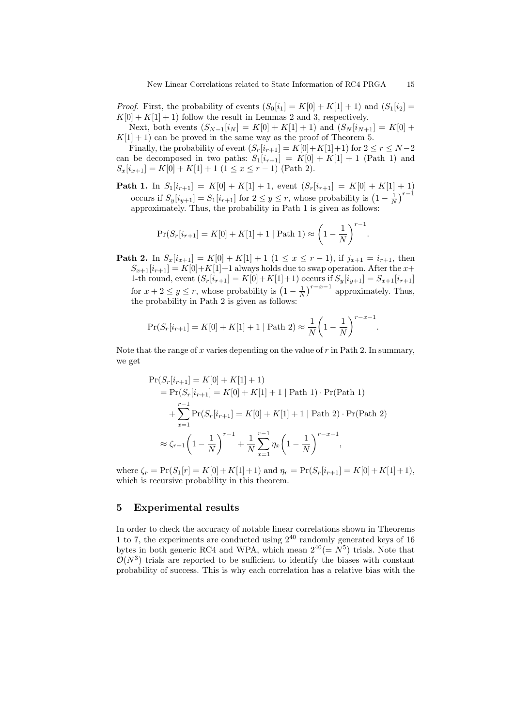*Proof.* First, the probability of events  $(S_0[i_1] = K[0] + K[1] + 1)$  and  $(S_1[i_2] =$  $K[0] + K[1] + 1$  follow the result in Lemmas 2 and 3, respectively. Next, both events  $(S_{N-1}[i_N] = K[0] + K[1] + 1)$  and  $(S_N[i_{N+1}] = K[0] +$ 

 $K[1] + 1$  can be proved in the same way as the proof of Theorem 5.

Finally, the probability of event  $(S_r[i_{r+1}] = K[0] + K[1]+1)$  for  $2 \leq r \leq N-2$ can be decomposed in two paths:  $S_1[i_{r+1}] = K[0] + K[1] + 1$  (Path 1) and  $S_x[i_{x+1}] = K[0] + K[1] + 1$  (1 *≤ x ≤ r* − 1) (Path 2).

**Path 1.** In  $S_1[i_{r+1}] = K[0] + K[1] + 1$ , event  $(S_r[i_{r+1}] = K[0] + K[1] + 1)$ occurs if  $S_y[i_{y+1}] = S_1[i_{r+1}]$  for  $2 \le y \le r$ , whose probability is  $\left(1 - \frac{1}{N}\right)^{r-1}$ approximately. Thus, the probability in Path 1 is given as follows:

$$
\Pr(S_r[i_{r+1}] = K[0] + K[1] + 1 | \text{Path 1}) \approx \left(1 - \frac{1}{N}\right)^{r-1}.
$$

**Path 2.** In  $S_x[i_{x+1}] = K[0] + K[1] + 1$  (1 ≤ *x* ≤ *r* − 1), if  $j_{x+1} = i_{r+1}$ , then  $S_{x+1}[i_{r+1}] = K[0]+K[1]+1$  always holds due to swap operation. After the  $x+$ 1-th round, event  $(S_r[i_{r+1}] = K[0] + K[1]+1)$  occurs if  $S_y[i_{y+1}] = S_{x+1}[i_{r+1}]$ for  $x + 2 \leq y \leq r$ , whose probability is  $\left(1 - \frac{1}{N}\right)^{r-x-1}$  approximately. Thus, the probability in Path 2 is given as follows:

$$
Pr(S_r[i_{r+1}] = K[0] + K[1] + 1 | Path 2) \approx \frac{1}{N} \left(1 - \frac{1}{N}\right)^{r-x-1}.
$$

Note that the range of *x* varies depending on the value of *r* in Path 2. In summary, we get

$$
\Pr(S_r[i_{r+1}] = K[0] + K[1] + 1)
$$
\n
$$
= \Pr(S_r[i_{r+1}] = K[0] + K[1] + 1 | \text{Path 1}) \cdot \Pr(\text{Path 1})
$$
\n
$$
+ \sum_{x=1}^{r-1} \Pr(S_r[i_{r+1}] = K[0] + K[1] + 1 | \text{Path 2}) \cdot \Pr(\text{Path 2})
$$
\n
$$
\approx \zeta_{r+1} \left( 1 - \frac{1}{N} \right)^{r-1} + \frac{1}{N} \sum_{x=1}^{r-1} \eta_x \left( 1 - \frac{1}{N} \right)^{r-x-1},
$$

where  $\zeta_r = \Pr(S_1[r] = K[0] + K[1] + 1)$  and  $\eta_r = \Pr(S_r[i_{r+1}] = K[0] + K[1] + 1)$ , which is recursive probability in this theorem.

# **5 Experimental results**

In order to check the accuracy of notable linear correlations shown in Theorems 1 to 7, the experiments are conducted using  $2^{40}$  randomly generated keys of 16 bytes in both generic RC4 and WPA, which mean  $2^{40} (= N^5)$  trials. Note that  $\mathcal{O}(N^3)$  trials are reported to be sufficient to identify the biases with constant probability of success. This is why each correlation has a relative bias with the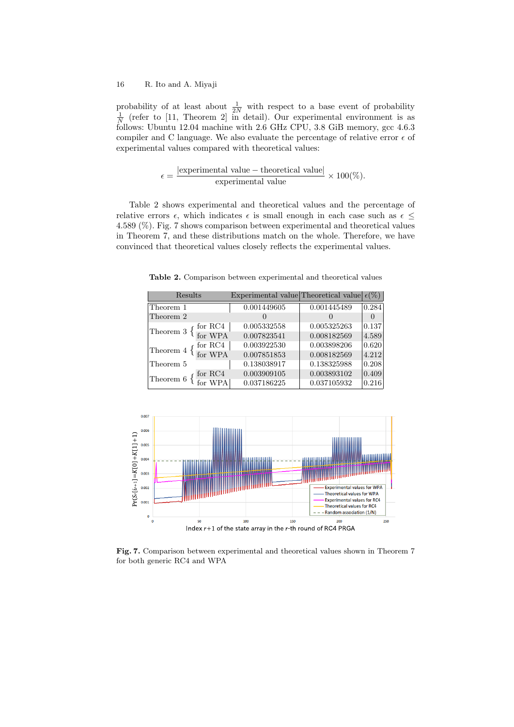probability of at least about  $\frac{1}{2N}$  with respect to a base event of probability  $\frac{1}{N}$  (refer to [11, Theorem 2] in detail). Our experimental environment is as follows: Ubuntu 12.04 machine with 2.6 GHz CPU, 3.8 GiB memory, gcc 4.6.3 compiler and C language. We also evaluate the percentage of relative error  $\epsilon$  of experimental values compared with theoretical values:

$$
\epsilon = \frac{|\text{experimental value} - \text{theoretical value}|}{\text{experimental value}} \times 100(\%)
$$

Table 2 shows experimental and theoretical values and the percentage of relative errors  $\epsilon$ , which indicates  $\epsilon$  is small enough in each case such as  $\epsilon$ 4*.*589 (%). Fig. 7 shows comparison between experimental and theoretical values in Theorem 7, and these distributions match on the whole. Therefore, we have convinced that theoretical values closely reflects the experimental values.

**Table 2.** Comparison between experimental and theoretical values

| Results                                                                                  | Experimental value Theoretical value |             | $\epsilon(\%)$  |
|------------------------------------------------------------------------------------------|--------------------------------------|-------------|-----------------|
| Theorem 1                                                                                | 0.001449605                          | 0.001445489 | 0.284           |
| Theorem 2                                                                                |                                      |             |                 |
| Theorem 3 $\left\{\begin{array}{c} \text{for RC4} \\ \text{for WPA} \end{array}\right\}$ | 0.005332558                          | 0.005325263 | 0.137           |
|                                                                                          | 0.007823541                          | 0.008182569 | 4.589           |
| for $RC4$                                                                                | 0.003922530                          | 0.003898206 | $ 0.620\rangle$ |
| Theorem 4 $\{$ $\operatorname*{for}$ WPA                                                 | 0.007851853                          | 0.008182569 | 4.212           |
| Theorem 5                                                                                | 0.138038917                          | 0.138325988 | 0.208           |
| for RC4<br>Theorem $6 \nvert 6$                                                          | 0.003909105                          | 0.003893102 | 0.409           |
|                                                                                          | 0.037186225                          | 0.037105932 | 0.216           |



**Fig. 7.** Comparison between experimental and theoretical values shown in Theorem 7 for both generic RC4 and WPA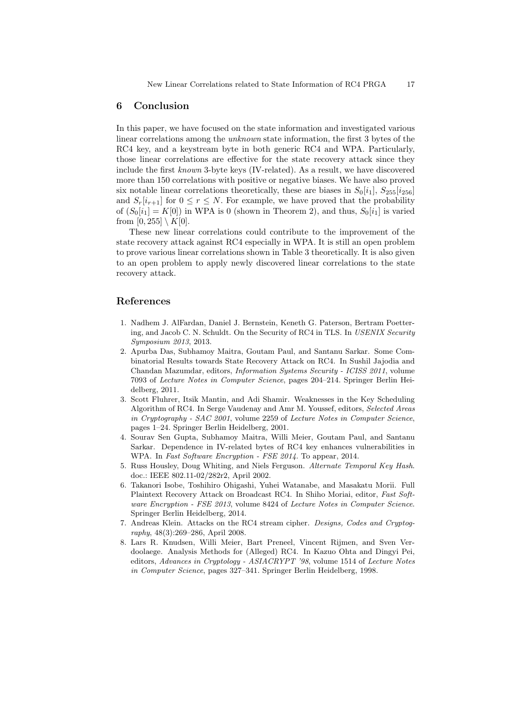#### **6 Conclusion**

In this paper, we have focused on the state information and investigated various linear correlations among the *unknown* state information, the first 3 bytes of the RC4 key, and a keystream byte in both generic RC4 and WPA. Particularly, those linear correlations are effective for the state recovery attack since they include the first *known* 3-byte keys (IV-related). As a result, we have discovered more than 150 correlations with positive or negative biases. We have also proved six notable linear correlations theoretically, these are biases in  $S_0[i_1]$ ,  $S_{255}[i_{256}]$ and  $S_r[i_{r+1}]$  for  $0 \leq r \leq N$ . For example, we have proved that the probability of  $(S_0[i_1] = K[0])$  in WPA is 0 (shown in Theorem 2), and thus,  $S_0[i_1]$  is varied from  $[0, 255] \setminus K[0]$ .

These new linear correlations could contribute to the improvement of the state recovery attack against RC4 especially in WPA. It is still an open problem to prove various linear correlations shown in Table 3 theoretically. It is also given to an open problem to apply newly discovered linear correlations to the state recovery attack.

# **References**

- 1. Nadhem J. AlFardan, Daniel J. Bernstein, Keneth G. Paterson, Bertram Poettering, and Jacob C. N. Schuldt. On the Security of RC4 in TLS. In *USENIX Security Symposium 2013*, 2013.
- 2. Apurba Das, Subhamoy Maitra, Goutam Paul, and Santanu Sarkar. Some Combinatorial Results towards State Recovery Attack on RC4. In Sushil Jajodia and Chandan Mazumdar, editors, *Information Systems Security - ICISS 2011*, volume 7093 of *Lecture Notes in Computer Science*, pages 204–214. Springer Berlin Heidelberg, 2011.
- 3. Scott Fluhrer, Itsik Mantin, and Adi Shamir. Weaknesses in the Key Scheduling Algorithm of RC4. In Serge Vaudenay and Amr M. Youssef, editors, *Selected Areas in Cryptography - SAC 2001*, volume 2259 of *Lecture Notes in Computer Science*, pages 1–24. Springer Berlin Heidelberg, 2001.
- 4. Sourav Sen Gupta, Subhamoy Maitra, Willi Meier, Goutam Paul, and Santanu Sarkar. Dependence in IV-related bytes of RC4 key enhances vulnerabilities in WPA. In *Fast Software Encryption - FSE 2014*. To appear, 2014.
- 5. Russ Housley, Doug Whiting, and Niels Ferguson. *Alternate Temporal Key Hash*. doc.: IEEE 802.11-02/282r2, April 2002.
- 6. Takanori Isobe, Toshihiro Ohigashi, Yuhei Watanabe, and Masakatu Morii. Full Plaintext Recovery Attack on Broadcast RC4. In Shiho Moriai, editor, *Fast Software Encryption - FSE 2013*, volume 8424 of *Lecture Notes in Computer Science*. Springer Berlin Heidelberg, 2014.
- 7. Andreas Klein. Attacks on the RC4 stream cipher. *Designs, Codes and Cryptography*, 48(3):269–286, April 2008.
- 8. Lars R. Knudsen, Willi Meier, Bart Preneel, Vincent Rijmen, and Sven Verdoolaege. Analysis Methods for (Alleged) RC4. In Kazuo Ohta and Dingyi Pei, editors, *Advances in Cryptology - ASIACRYPT '98*, volume 1514 of *Lecture Notes in Computer Science*, pages 327–341. Springer Berlin Heidelberg, 1998.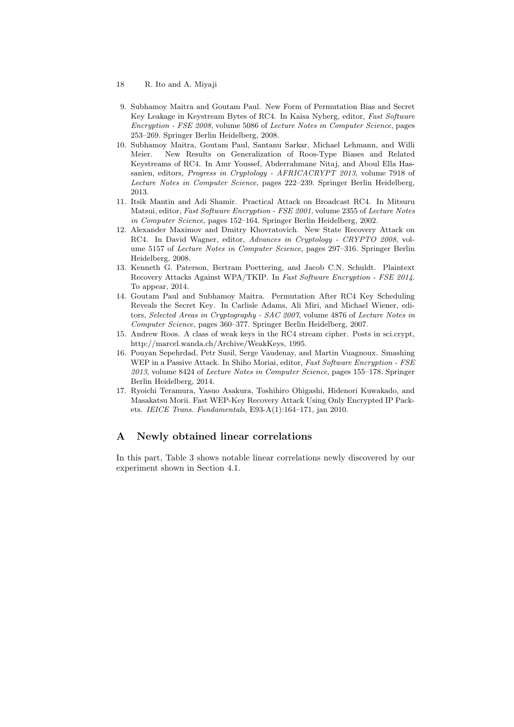- 18 R. Ito and A. Miyaji
- 9. Subhamoy Maitra and Goutam Paul. New Form of Permutation Bias and Secret Key Leakage in Keystream Bytes of RC4. In Kaisa Nyberg, editor, *Fast Software Encryption - FSE 2008*, volume 5086 of *Lecture Notes in Computer Science*, pages 253–269. Springer Berlin Heidelberg, 2008.
- 10. Subhamoy Maitra, Goutam Paul, Santanu Sarkar, Michael Lehmann, and Willi Meier. New Results on Generalization of Roos-Type Biases and Related Keystreams of RC4. In Amr Youssef, Abderrahmane Nitaj, and Aboul Ella Hassanien, editors, *Progress in Cryptology - AFRICACRYPT 2013*, volume 7918 of *Lecture Notes in Computer Science*, pages 222–239. Springer Berlin Heidelberg, 2013.
- 11. Itsik Mantin and Adi Shamir. Practical Attack on Broadcast RC4. In Mitsuru Matsui, editor, *Fast Software Encryption - FSE 2001*, volume 2355 of *Lecture Notes in Computer Science*, pages 152–164. Springer Berlin Heidelberg, 2002.
- 12. Alexander Maximov and Dmitry Khovratovich. New State Recovery Attack on RC4. In David Wagner, editor, *Advances in Cryptology - CRYPTO 2008*, volume 5157 of *Lecture Notes in Computer Science*, pages 297–316. Springer Berlin Heidelberg, 2008.
- 13. Kenneth G. Paterson, Bertram Poettering, and Jacob C.N. Schuldt. Plaintext Recovery Attacks Against WPA/TKIP. In *Fast Software Encryption - FSE 2014*. To appear, 2014.
- 14. Goutam Paul and Subhamoy Maitra. Permutation After RC4 Key Scheduling Reveals the Secret Key. In Carlisle Adams, Ali Miri, and Michael Wiener, editors, *Selected Areas in Cryptography - SAC 2007*, volume 4876 of *Lecture Notes in Computer Science*, pages 360–377. Springer Berlin Heidelberg, 2007.
- 15. Andrew Roos. A class of weak keys in the RC4 stream cipher. Posts in sci.crypt, http://marcel.wanda.ch/Archive/WeakKeys, 1995.
- 16. Pouyan Sepehrdad, Petr Susil, Serge Vaudenay, and Martin Vuagnoux. Smashing WEP in a Passive Attack. In Shiho Moriai, editor, *Fast Software Encryption - FSE 2013*, volume 8424 of *Lecture Notes in Computer Science*, pages 155–178. Springer Berlin Heidelberg, 2014.
- 17. Ryoichi Teramura, Yasuo Asakura, Toshihiro Ohigashi, Hidenori Kuwakado, and Masakatsu Morii. Fast WEP-Key Recovery Attack Using Only Encrypted IP Packets. *IEICE Trans. Fundamentals*, E93-A(1):164–171, jan 2010.

# **A Newly obtained linear correlations**

In this part, Table 3 shows notable linear correlations newly discovered by our experiment shown in Section 4.1.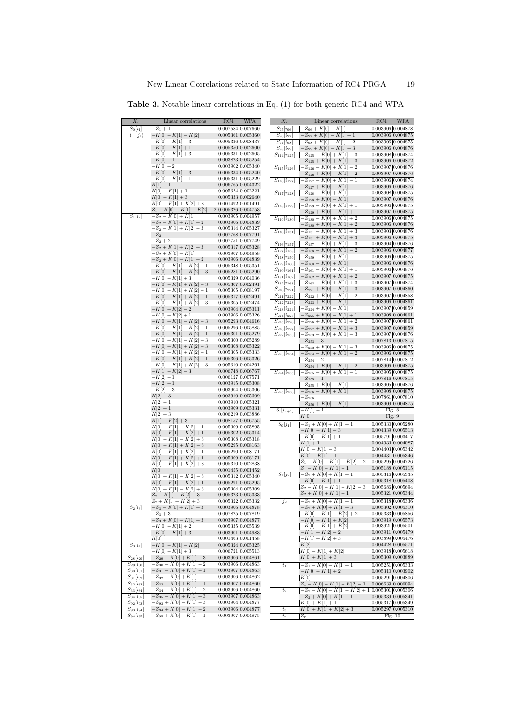| $X_r$                                             | Linear correlations                                        | RC4                                    | <b>WPA</b>                             | $X_r$                                    | Linear correlations                                          | RC4<br>WPA                                     |
|---------------------------------------------------|------------------------------------------------------------|----------------------------------------|----------------------------------------|------------------------------------------|--------------------------------------------------------------|------------------------------------------------|
| $S_0[i_1]$                                        | $-Z_1+1$                                                   | 0.007584 0.007660                      |                                        | $S_{95}[i_{96}]$                         | $Z_{96} + K[0] - K[1]$                                       | 0.003906 0.004878                              |
| $(=j_1)$                                          | $-K[0] - K[1] - K[2]$                                      | 0.005361 0.005360                      |                                        | $S_{96}[i_{97}]$                         | $-Z_{97}+K[0]-K[1]+1$                                        | 0.003906 0.004875                              |
|                                                   | $-K[0] - K[1] - 3$                                         | 0.005336 0.008437<br>0.005350 0.002600 |                                        | $S_{97}[i_{98}]$                         | $Z_{98} + K[0] - K[1] + 2$                                   | 0.003906 0.004875                              |
|                                                   | $-K[0] - K[1] + 1$<br>$-K[0] - K[1] + 3$                   | 0.005331 0.002605                      |                                        | $S_{98}[i_{99}]$<br>$S_{124}[i_{125}]$   | $K_{99} + K[0] - K[1] + 3$<br>$-Z_{125} - K[0] + K[1] - 3$   | 0.003906 0.004876<br>0.003908 0.004874         |
|                                                   | $-K[0]-1$                                                  | 0.003823 0.005254                      |                                        |                                          | $-Z_{125} + K[0] + K[1] - 3$                                 | 0.003906 0.004872                              |
|                                                   | $-K[0]+2$                                                  | 0.003902 0.005340                      |                                        | $S_{125}[i_{126}]$                       | $-Z_{126} - K[0] + K[1] - 2$                                 | 0.003907 0.004876                              |
|                                                   | $-K[0]+K[1]-3$                                             | 0.005334 0.005240                      |                                        |                                          | $-Z_{126}+K[0]-K[1]-2$                                       | 0.003907 0.004876                              |
|                                                   | $-K[0]+K[1]-1$<br>$K[1]+1$                                 | 0.005331 0.005229<br>0.006765 0.004322 |                                        | $S_{126}[i_{127}]$                       | $-Z_{127} - K[0] + K[1] - 1$                                 | 0.003906 0.004874                              |
|                                                   | $K[0] - K[1] + 1$                                          | 0.005324 0.002221                      |                                        | $S_{127}[i_{128}]$                       | $-Z_{127} + K[0] - K[1] - 1$<br>$-Z_{128} - K[0] + K[1]$     | 0.003906 0.004876<br>0.003908 0.004875         |
|                                                   | $K[0] - K[1] + 3$                                          | 0.005333   0.002640                    |                                        |                                          | $-Z_{128}+K[0]-K[1]$                                         | $0.003907$ $0.004876$                          |
|                                                   | $K[0]+K[1]+K[2]+3$                                         | 0.001492 0.001491                      |                                        | $S_{128}[i_{129}]$                       | $-Z_{129} - K[0] + K[1] + 1$                                 | $0.003906$ $0.004875$                          |
| $\overline{S_1}[i_2]$                             | $Z_1 - K[0] - K[1] - K[2] - 2$<br>$-Z_2 - K[0] + K[1]$     | 0.005326 0.004753<br>0.003905 0.004957 |                                        |                                          | $-Z_{129} + K[0] - K[1] + 1$                                 | $0.003907\ 0.004875$                           |
|                                                   | $-Z_2 - K[0] + K[1] + 2$                                   | 0.003906 0.004839                      |                                        | $S_{129}[i_{130}]$                       | $-Z_{130} - K[0] + K[1] + 2$                                 | 0.003906 0.004875                              |
|                                                   | $-Z_2 - K[1] + K[2] - 3$                                   | 0.005314 0.005327                      |                                        | $S_{130}[i_{131}]$                       | $-Z_{130} + K[0] - K[1] + 2$<br>$-Z_{131} - K[0] + K[1] + 3$ | $0.003906$ $0.004876$<br>$0.003903$ $0.004876$ |
|                                                   | $-Z_2$                                                     | 0.007768 0.007791                      |                                        |                                          | $-Z_{131}+K[0]-K[1]+3$                                       | 0.003906 0.004875                              |
|                                                   | $-Z_2+2$<br>$-Z_2 + K[1] + K[2] + 3$                       | 0.007751 0.007749                      |                                        | $S_{156}[i_{157}]$                       | $-Z_{157} - K[0] + K[1] - 3$                                 | 0.003904 0.004876                              |
|                                                   | $-Z_2 + K[0] - K[1]$                                       | 0.005317 0.005328<br>0.003907 0.004958 |                                        | $S_{157}[i_{158}]$                       | $-Z_{158} - K[0] + K[1] - 2$                                 | $0.003906\ 0.004877$                           |
|                                                   | $-Z_2 + K[0] - K[1] + 2$                                   | 0.003906 0.004839                      |                                        | $S_{158}[i_{159}]$                       | $-Z_{159} - K[0] + K[1] - 1$                                 | 0.003906 0.004875                              |
|                                                   | $-K[0] - K[1] - K[2] + 1$                                  | 0.005348 0.005351                      |                                        | $S_{159}[i_{160}]$<br>$S_{160}[i_{161}]$ | $-Z_{160} - K[0] + K[1]$<br>$-Z_{161} - K[0] + K[1] + 1$     | 0.003906 0.004876<br>0.003906 0.004876         |
|                                                   | $-K[0] - K[1] - K[2] + 3$                                  | 0.005281 0.005290                      |                                        | $S_{161}[i_{162}]$                       | $-Z_{162} - K[0] + K[1] + 2$                                 | 0.003907 0.004875                              |
|                                                   | $-K[0] - K[1] + 3$<br>$-K[0] - K[1] + K[2] - 3$            | 0.005329 0.004036<br>0.005307 0.002491 |                                        | $S_{162}[i_{163}]$                       | $-Z_{163} - K[0] + K[1] + 3$                                 | 0.003907 0.004874                              |
|                                                   | $-K[0] - K[1] + K[2] - 1$                                  | 0.005305 0.008197                      |                                        | $S_{220}[i_{221}]$                       | $-Z_{221}+K[0]-K[1]-3$                                       | 0.003907 0.004860                              |
|                                                   | $-K[0] - K[1] + K[2] + 1$                                  | 0.005317 0.002491                      |                                        | $S_{221}[i_{222}]$                       | $-Z_{222}+K[0]-K[1]-2$                                       | 0.003907 0.004858                              |
|                                                   | $-K[0] - K[1] + K[2] + 3$                                  |                                        | 0.005305 0.002474                      | $S_{222}[i_{223}]$                       | $-Z_{223}+K[0]-K[1]-1$                                       | 0.003906 0.004861                              |
|                                                   | $-K[0]+K[2]-2$<br>$-K[0]+K[2]+1$                           | 0.003904 0.005311<br>0.003906 0.005326 |                                        | $S_{223}[i_{224}]$<br>$S_{224}[i_{225}]$ | $-Z_{224}+K[0]-K[1]$<br>$-Z_{225}+K[0]-K[1]+1$               | 0.003907 0.004859<br>0.003908 0.004861         |
|                                                   | $-K[0]+K[1]-K[2]-3$                                        | 0.005293 0.004616                      |                                        | $S_{225}[i_{226}]$                       | $-Z_{226}+K[0]-K[1]+2$                                       | 0.003907 0.004861                              |
|                                                   | $-K[0]+K[1]-K[2]-1$                                        | 0.005296 0.005885                      |                                        | $S_{226}[i_{227}]$                       | $-Z_{227} + K[0] - K[1] + 3$                                 | 0.003907 0.004859                              |
|                                                   | $-K[0]+K[1]-K[2]+1$                                        | 0.005301 0.005279                      |                                        | $S_{252}[i_{253}]$                       | $-Z_{253} - K[0] + K[1] - 3$                                 | 0.003907 0.004876                              |
|                                                   | $-K[0]+K[1]-K[2]+3$                                        | 0.005300 0.005289                      |                                        |                                          | $-Z_{253}-3$                                                 | 0.007813 0.007815                              |
|                                                   | $-K[0]+K[1]+K[2]-3$<br>$-K[0]+K[1]+K[2]-1$                 | 0.005308 0.005322<br>0.005305 0.005333 |                                        | $S_{253} i_{254} $                       | $-Z_{253}+K[0]-K[1]-3$<br>$-Z_{254} - K[0] + K[1] - 2$       | 0.003906 0.004875<br>0.003906 0.004875         |
|                                                   | $-K[0]+K[1]+K[2]+1$                                        | 0.005306 0.005326                      |                                        |                                          | $-Z_{254}-2$                                                 | 0.007814 0.007812                              |
|                                                   | $-K[0]+K[1]+K[2]+3$                                        | 0.005310 0.004261                      |                                        |                                          | $-Z_{254}+K[0]-K[1]-2$                                       | 0.003906 0.004875                              |
|                                                   | $-K[1] - K[2] - 3$                                         | 0.006748 0.006767                      |                                        | $S_{254}[i_{255}]$                       | $-Z_{255} - K[0] + K[1] - 1$                                 | 0.003905 0.004875                              |
|                                                   | $-K[2]-1$<br>$-K[2]+1$                                     | 0.006127 0.007571<br>0.003915 0.005308 |                                        |                                          | $-Z_{255}-1$<br>$-Z_{255}+K[0]-K[1]-1$                       | 0.007816 0.007815<br>0.003905 0.004876         |
|                                                   | $-K[2]+3$                                                  | 0.003904 0.005306                      |                                        | $S_{255}[i_{256}]$                       | $-Z_{256} - K[0] + K[1]$                                     | 0.003908 0.004875                              |
|                                                   | $K[2]-3$                                                   | 0.003910 0.005309                      |                                        |                                          | $-Z_{256}$                                                   | 0.007861 0.007810                              |
|                                                   | $K[2]-1$<br>$K[2]+1$                                       | 0.003909 0.005331                      | 0.003910 0.005321                      |                                          | $-Z_{256}+K[0]-K[1]$                                         | $0.003909$ $0.004875$                          |
|                                                   | $K[2]+3$                                                   | 0.006219 0.003886                      |                                        | $S_r[i_{r+1}]$                           | $-K[1]-1$                                                    | Fig. 8                                         |
|                                                   | $K[1]+K[2]+3$                                              | 0.008157 0.006755                      |                                        |                                          | K[0]                                                         | Fig. 9                                         |
|                                                   | $K[0] - K[1] - K[2] - 1$                                   | 0.005309 0.005895                      |                                        | $S_0[j_1]$                               | $-Z_1 + K[0] + K[1] + 1$<br>$-K[0] - K[1] - 3$               | 0.005330 0.005280<br>$0.004339$ $0.005513$     |
|                                                   | $K[0] - K[1] - K[2] + 1$                                   | 0.005302   0.005314                    |                                        |                                          | $-K[0] - K[1] + 1$                                           | 0.005791 0.003417                              |
|                                                   | $K[0] - K[1] - K[2] + 3$<br>$K[0] - K[1] + K[2] - 3$       | 0.005308 0.005318<br>0.005295 0.008163 |                                        |                                          | $K[1]+1$                                                     | 0.004933 0.004087                              |
|                                                   | $K[0]-K[1]+K[2]-1$                                         | 0.005290 0.008171                      |                                        |                                          | $K[0]-K[1]-3$                                                | 0.004403 0.005342                              |
|                                                   | $K[0] - K[1] + K[2] + 1$                                   | 0.005309 0.008171                      |                                        |                                          | $K[0] - K[1] - 1$<br>$Z_1 - K[0] - K[1] - K[2] - 2$          | 0.004431 0.005346<br>0.005295 0.004726         |
|                                                   | $K[0] - K[1] + K[2] + 3$                                   | 0.005310 0.002838                      |                                        |                                          | $Z_1 - K[0] - K[1] - 1$                                      | 0.005188 0.005115                              |
|                                                   | K[0]<br>$K[0]+K[1]-K[2]-3$                                 | 0.001455 0.001452<br>0.005312 0.005340 |                                        | $S_1[j_2]$                               | $-Z_2 + K[0] + K[1] + 1$                                     | 0.005316 0.005335                              |
|                                                   | $K[0]+K[1]-K[2]+1$                                         | 0.005291 0.005295                      |                                        |                                          | $-K[0] - K[1] + 1$                                           | 0.005318 0.005408                              |
|                                                   | $K[0]+K[1]-K[2]+3$                                         | 0.005304 0.005309                      |                                        |                                          | $Z_2 - K[0] - K[1] - K[2] - 3$<br>$Z_2 + K[0] + K[1] + 1$    | 0.005686 0.005694<br>0.005321 0.005344         |
|                                                   | $Z_2 - K[1] - K[2] - 3$                                    | 0.005323 0.005333<br>0.005322 0.005332 |                                        |                                          | $-Z_2 + K[0] + K[1] + 1$                                     | $0.005318$ 0.005336                            |
| $S_2[i_3]$                                        | $Z_2 + K[1] + K[2] + 3$<br>$-Z_3 - K[0] + K[1] + 3$        |                                        | 0.003906 0.004878                      | $j_2$                                    | $-Z_2 + K[0] + K[1] + 3$                                     | $0.005302$ $0.005310$                          |
|                                                   | $-Z_3+3$                                                   |                                        | 0.007825 0.007819                      |                                          | $-K[0] - K[1] - K[2] + 2$                                    | $0.005333$ $0.005856$                          |
|                                                   | $-Z_3 + K[0] - K[1] + 3$                                   | 0.003907 0.004877                      |                                        |                                          | $-K[0] - K[1] + K[2]$                                        | $0.003919$ $0.005573$                          |
|                                                   | $-K[0] - K[1] + 2$                                         | 0.005335 0.005539                      | 0.003901 0.004983                      |                                          | $-K[0]+K[1]+K[2]$<br>$-K[1]+K[2]-2$                          | $0.003921\ 0.005501$<br>0.003911 0.005479      |
|                                                   | $-K[0]+K[1]+3$<br>K[0]                                     | 0.001463 0.001458                      |                                        |                                          | $-K[1]+K[2]+3$                                               | 0.003899 0.005476                              |
| $S_3[i_4]$                                        | $-K[0] - K[1] - K[2]$                                      |                                        | 0.005324 0.005325                      |                                          | K[2]                                                         | $0.004428$ $0.005571$                          |
|                                                   | $-K[0] - K[1] + 3$                                         |                                        | 0.006721 0.005513                      |                                          | $K[0] - K[1] + K[2]$                                         | $0.003918$ $0.005618$                          |
| $S_{28}[i_{29}]$                                  | $-Z_{29} - K[0] + K[1] - 3$                                | 0.003906 0.004861                      |                                        |                                          | $K[0]+K[1]+3$                                                | 0.005309 0.003889                              |
| $S_{29}[i_{30}]$<br>$S_{30}[i_{31}]$              | $-Z_{30} - K[0] + K[1] - 2$<br>$-Z_{31} - K[0] + K[1] - 1$ |                                        | 0.003906 0.004863<br>0.003907 0.004863 | $t_{\rm 1}$                              | $-Z_1 - K[0] - K[1] + 1$<br>$-K[0] - K[1] + 2$               | 0.005251 0.005333                              |
| $S_{31}[i_{32}]$                                  | $-Z_{32}-K[0]+K[1]$                                        |                                        | 0.003906 0.004862                      |                                          | K[0]                                                         | $0.005310$ $0.003902$<br>0.005291 0.004806     |
| $S_{32}[i_{33}]$                                  | $-Z_{33} - K[0] + K[1] + 1$                                |                                        | 0.003907 0.004860                      |                                          | $Z_1 - K[0] - K[1] - K[2] - 1$                               | 0.006639 0.006094                              |
| $S_{33}[i_{34}]$                                  | $-Z_{34} - K[0] + K[1] + 2$                                |                                        | 0.003906 0.004860                      | $t_2$                                    | $-Z_2 - K[0] - K[1] - K[2] + 1$                              | 0.005301 0.005306                              |
| $S_{34}[i_{35}]$                                  | $-Z_{35} - K[0] + K[1] + 3$                                |                                        | 0.003907 0.004863                      |                                          | $-Z_2 + K[0] + K[1] + 1$                                     | $0.005339$ $0.005341$                          |
| $S_{92} _{i_{93}}$<br>$S_{93}$ [i <sub>94</sub> ] | $Z_{93} + K[0] - K[1] - 3$<br>$-Z_{94}+K[0]-K[1]-2$        | 0.003904 0.004877                      | 0.003906 0.004877                      |                                          | $K[0]+K[1]+1$<br>$K[0]+K[1]+K[2]+3$                          | 0.005317 0.005349<br>$0.005297$ $0.005310$     |
| $S_{94}$ [i95]                                    | $-Z_{95}+K[0]-K[1]-1$                                      |                                        | 0.003907 0.004875                      | $t_3$<br>$\mathfrak{t}_r$                | $Z_r$                                                        | Fig. $10$                                      |
|                                                   |                                                            |                                        |                                        |                                          |                                                              |                                                |

**Table 3.** Notable linear correlations in Eq. (1) for both generic RC4 and WPA